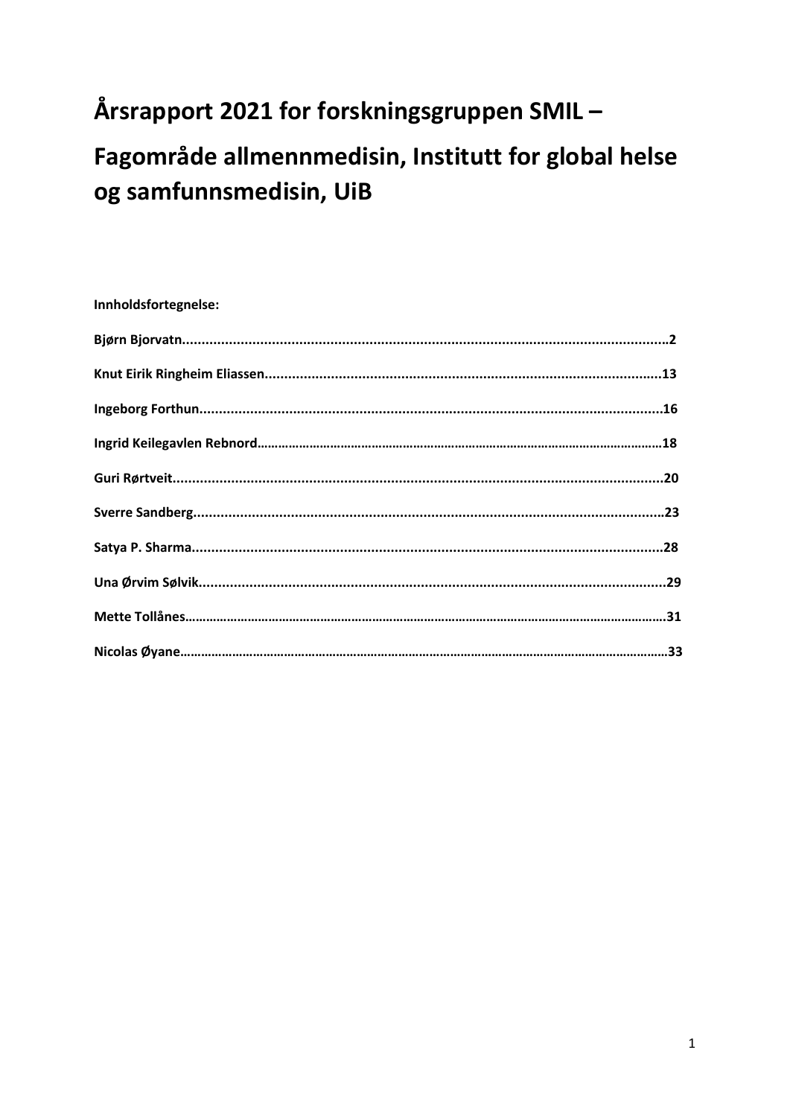# Årsrapport 2021 for forskningsgruppen SMIL-

# Fagområde allmennmedisin, Institutt for global helse og samfunnsmedisin, UiB

### Innholdsfortegnelse: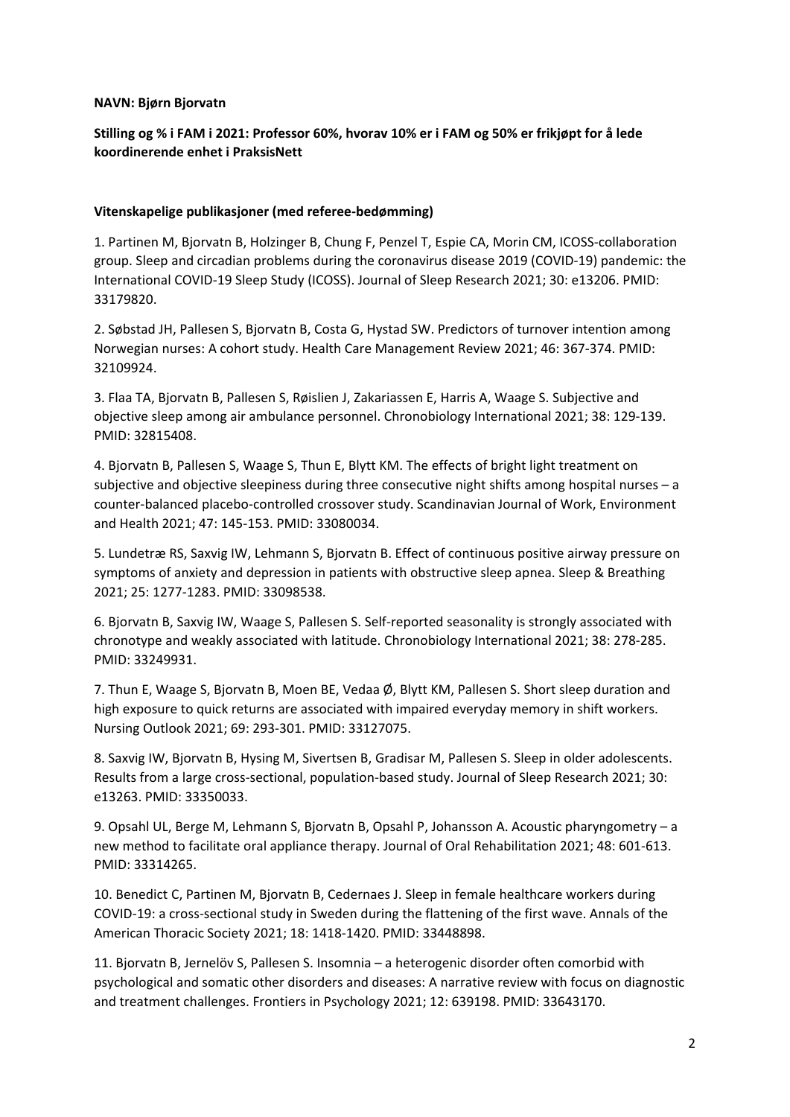### **NAVN: Bjørn Bjorvatn**

### **Stilling og % i FAM i 2021: Professor 60%, hvorav 10% er i FAM og 50% er frikjøpt for å lede koordinerende enhet i PraksisNett**

### **Vitenskapelige publikasjoner (med referee-bedømming)**

1. Partinen M, Bjorvatn B, Holzinger B, Chung F, Penzel T, Espie CA, Morin CM, ICOSS-collaboration group. Sleep and circadian problems during the coronavirus disease 2019 (COVID-19) pandemic: the International COVID-19 Sleep Study (ICOSS). Journal of Sleep Research 2021; 30: e13206. PMID: 33179820.

2. Søbstad JH, Pallesen S, Bjorvatn B, Costa G, Hystad SW. Predictors of turnover intention among Norwegian nurses: A cohort study. Health Care Management Review 2021; 46: 367-374. PMID: 32109924.

3. Flaa TA, Bjorvatn B, Pallesen S, Røislien J, Zakariassen E, Harris A, Waage S. Subjective and objective sleep among air ambulance personnel. Chronobiology International 2021; 38: 129-139. PMID: 32815408.

4. Bjorvatn B, Pallesen S, Waage S, Thun E, Blytt KM. The effects of bright light treatment on subjective and objective sleepiness during three consecutive night shifts among hospital nurses – a counter-balanced placebo-controlled crossover study. Scandinavian Journal of Work, Environment and Health 2021; 47: 145-153. PMID: 33080034.

5. Lundetræ RS, Saxvig IW, Lehmann S, Bjorvatn B. Effect of continuous positive airway pressure on symptoms of anxiety and depression in patients with obstructive sleep apnea. Sleep & Breathing 2021; 25: 1277-1283. PMID: 33098538.

6. Bjorvatn B, Saxvig IW, Waage S, Pallesen S. Self-reported seasonality is strongly associated with chronotype and weakly associated with latitude. Chronobiology International 2021; 38: 278-285. PMID: 33249931.

7. Thun E, Waage S, Bjorvatn B, Moen BE, Vedaa Ø, Blytt KM, Pallesen S. Short sleep duration and high exposure to quick returns are associated with impaired everyday memory in shift workers. Nursing Outlook 2021; 69: 293-301. PMID: 33127075.

8. Saxvig IW, Bjorvatn B, Hysing M, Sivertsen B, Gradisar M, Pallesen S. Sleep in older adolescents. Results from a large cross-sectional, population-based study. Journal of Sleep Research 2021; 30: e13263. PMID: 33350033.

9. Opsahl UL, Berge M, Lehmann S, Bjorvatn B, Opsahl P, Johansson A. Acoustic pharyngometry – a new method to facilitate oral appliance therapy. Journal of Oral Rehabilitation 2021; 48: 601-613. PMID: 33314265.

10. Benedict C, Partinen M, Bjorvatn B, Cedernaes J. Sleep in female healthcare workers during COVID-19: a cross-sectional study in Sweden during the flattening of the first wave. Annals of the American Thoracic Society 2021; 18: 1418-1420. PMID: 33448898.

11. Bjorvatn B, Jernelöv S, Pallesen S. Insomnia – a heterogenic disorder often comorbid with psychological and somatic other disorders and diseases: A narrative review with focus on diagnostic and treatment challenges. Frontiers in Psychology 2021; 12: 639198. PMID: 33643170.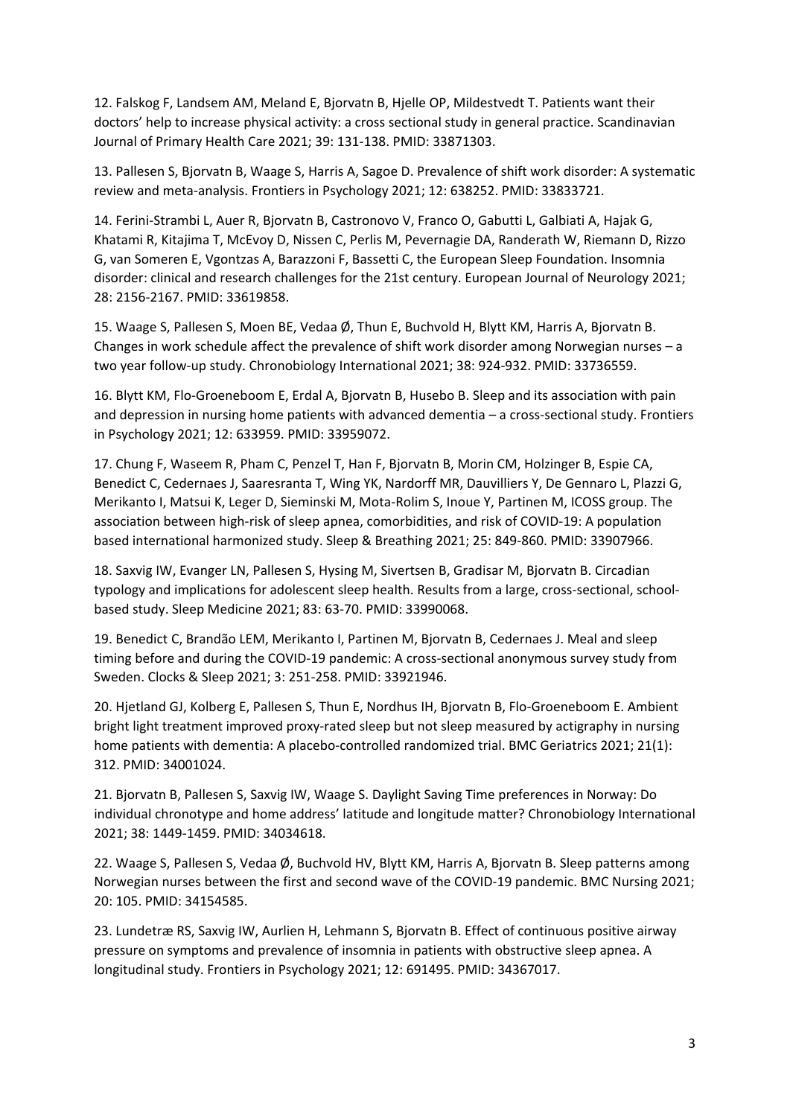12. Falskog F, Landsem AM, Meland E, Bjorvatn B, Hjelle OP, Mildestvedt T. Patients want their doctors' help to increase physical activity: a cross sectional study in general practice. Scandinavian Journal of Primary Health Care 2021; 39: 131-138. PMID: 33871303.

13. Pallesen S, Bjorvatn B, Waage S, Harris A, Sagoe D. Prevalence of shift work disorder: A systematic review and meta-analysis. Frontiers in Psychology 2021; 12: 638252. PMID: 33833721.

14. Ferini-Strambi L, Auer R, Bjorvatn B, Castronovo V, Franco O, Gabutti L, Galbiati A, Hajak G, Khatami R, Kitajima T, McEvoy D, Nissen C, Perlis M, Pevernagie DA, Randerath W, Riemann D, Rizzo G, van Someren E, Vgontzas A, Barazzoni F, Bassetti C, the European Sleep Foundation. Insomnia disorder: clinical and research challenges for the 21st century. European Journal of Neurology 2021; 28: 2156-2167. PMID: 33619858.

15. Waage S, Pallesen S, Moen BE, Vedaa Ø, Thun E, Buchvold H, Blytt KM, Harris A, Bjorvatn B. Changes in work schedule affect the prevalence of shift work disorder among Norwegian nurses – a two year follow-up study. Chronobiology International 2021; 38: 924-932. PMID: 33736559.

16. Blytt KM, Flo-Groeneboom E, Erdal A, Bjorvatn B, Husebo B. Sleep and its association with pain and depression in nursing home patients with advanced dementia – a cross-sectional study. Frontiers in Psychology 2021; 12: 633959. PMID: 33959072.

17. Chung F, Waseem R, Pham C, Penzel T, Han F, Bjorvatn B, Morin CM, Holzinger B, Espie CA, Benedict C, Cedernaes J, Saaresranta T, Wing YK, Nardorff MR, Dauvilliers Y, De Gennaro L, Plazzi G, Merikanto I, Matsui K, Leger D, Sieminski M, Mota-Rolim S, Inoue Y, Partinen M, ICOSS group. The association between high-risk of sleep apnea, comorbidities, and risk of COVID-19: A population based international harmonized study. Sleep & Breathing 2021; 25: 849-860. PMID: 33907966.

18. Saxvig IW, Evanger LN, Pallesen S, Hysing M, Sivertsen B, Gradisar M, Bjorvatn B. Circadian typology and implications for adolescent sleep health. Results from a large, cross-sectional, schoolbased study. Sleep Medicine 2021; 83: 63-70. PMID: 33990068.

19. Benedict C, Brandão LEM, Merikanto I, Partinen M, Bjorvatn B, Cedernaes J. Meal and sleep timing before and during the COVID-19 pandemic: A cross-sectional anonymous survey study from Sweden. Clocks & Sleep 2021; 3: 251-258. PMID: 33921946.

20. Hjetland GJ, Kolberg E, Pallesen S, Thun E, Nordhus IH, Bjorvatn B, Flo-Groeneboom E. Ambient bright light treatment improved proxy-rated sleep but not sleep measured by actigraphy in nursing home patients with dementia: A placebo-controlled randomized trial. BMC Geriatrics 2021; 21(1): 312. PMID: 34001024.

21. Bjorvatn B, Pallesen S, Saxvig IW, Waage S. Daylight Saving Time preferences in Norway: Do individual chronotype and home address' latitude and longitude matter? Chronobiology International 2021; 38: 1449-1459. PMID: 34034618.

22. Waage S, Pallesen S, Vedaa Ø, Buchvold HV, Blytt KM, Harris A, Bjorvatn B. Sleep patterns among Norwegian nurses between the first and second wave of the COVID-19 pandemic. BMC Nursing 2021; 20: 105. PMID: 34154585.

23. Lundetræ RS, Saxvig IW, Aurlien H, Lehmann S, Bjorvatn B. Effect of continuous positive airway pressure on symptoms and prevalence of insomnia in patients with obstructive sleep apnea. A longitudinal study. Frontiers in Psychology 2021; 12: 691495. PMID: 34367017.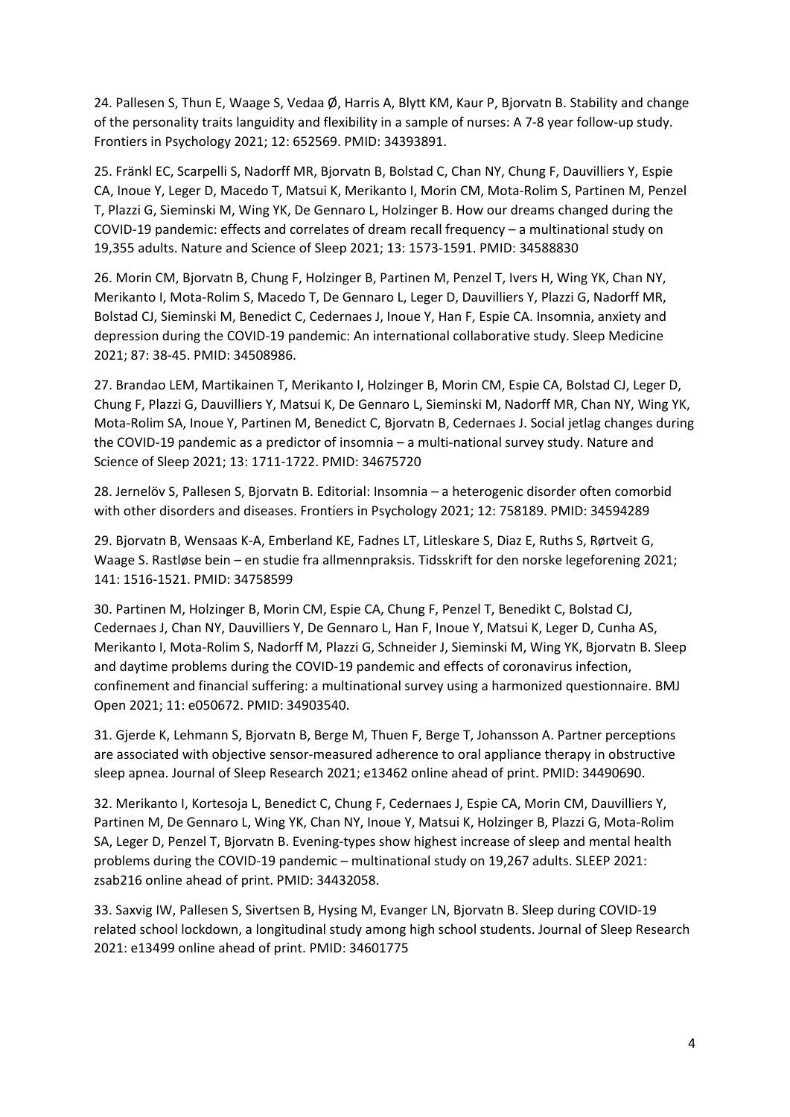24. Pallesen S, Thun E, Waage S, Vedaa Ø, Harris A, Blytt KM, Kaur P, Bjorvatn B. Stability and change of the personality traits languidity and flexibility in a sample of nurses: A 7-8 year follow-up study. Frontiers in Psychology 2021; 12: 652569. PMID: 34393891.

25. Fränkl EC, Scarpelli S, Nadorff MR, Bjorvatn B, Bolstad C, Chan NY, Chung F, Dauvilliers Y, Espie CA, Inoue Y, Leger D, Macedo T, Matsui K, Merikanto I, Morin CM, Mota-Rolim S, Partinen M, Penzel T, Plazzi G, Sieminski M, Wing YK, De Gennaro L, Holzinger B. How our dreams changed during the COVID-19 pandemic: effects and correlates of dream recall frequency – a multinational study on 19,355 adults. Nature and Science of Sleep 2021; 13: 1573-1591. PMID: 34588830

26. Morin CM, Bjorvatn B, Chung F, Holzinger B, Partinen M, Penzel T, Ivers H, Wing YK, Chan NY, Merikanto I, Mota-Rolim S, Macedo T, De Gennaro L, Leger D, Dauvilliers Y, Plazzi G, Nadorff MR, Bolstad CJ, Sieminski M, Benedict C, Cedernaes J, Inoue Y, Han F, Espie CA. Insomnia, anxiety and depression during the COVID-19 pandemic: An international collaborative study. Sleep Medicine 2021; 87: 38-45. PMID: 34508986.

27. Brandao LEM, Martikainen T, Merikanto I, Holzinger B, Morin CM, Espie CA, Bolstad CJ, Leger D, Chung F, Plazzi G, Dauvilliers Y, Matsui K, De Gennaro L, Sieminski M, Nadorff MR, Chan NY, Wing YK, Mota-Rolim SA, Inoue Y, Partinen M, Benedict C, Bjorvatn B, Cedernaes J. Social jetlag changes during the COVID-19 pandemic as a predictor of insomnia – a multi-national survey study. Nature and Science of Sleep 2021; 13: 1711-1722. PMID: 34675720

28. Jernelöv S, Pallesen S, Bjorvatn B. Editorial: Insomnia – a heterogenic disorder often comorbid with other disorders and diseases. Frontiers in Psychology 2021; 12: 758189. PMID: 34594289

29. Bjorvatn B, Wensaas K-A, Emberland KE, Fadnes LT, Litleskare S, Diaz E, Ruths S, Rørtveit G, Waage S. Rastløse bein – en studie fra allmennpraksis. Tidsskrift for den norske legeforening 2021; 141: 1516-1521. PMID: 34758599

30. Partinen M, Holzinger B, Morin CM, Espie CA, Chung F, Penzel T, Benedikt C, Bolstad CJ, Cedernaes J, Chan NY, Dauvilliers Y, De Gennaro L, Han F, Inoue Y, Matsui K, Leger D, Cunha AS, Merikanto I, Mota-Rolim S, Nadorff M, Plazzi G, Schneider J, Sieminski M, Wing YK, Bjorvatn B. Sleep and daytime problems during the COVID-19 pandemic and effects of coronavirus infection, confinement and financial suffering: a multinational survey using a harmonized questionnaire. BMJ Open 2021; 11: e050672. PMID: 34903540.

31. Gjerde K, Lehmann S, Bjorvatn B, Berge M, Thuen F, Berge T, Johansson A. Partner perceptions are associated with objective sensor-measured adherence to oral appliance therapy in obstructive sleep apnea. Journal of Sleep Research 2021; e13462 online ahead of print. PMID: 34490690.

32. Merikanto I, Kortesoja L, Benedict C, Chung F, Cedernaes J, Espie CA, Morin CM, Dauvilliers Y, Partinen M, De Gennaro L, Wing YK, Chan NY, Inoue Y, Matsui K, Holzinger B, Plazzi G, Mota-Rolim SA, Leger D, Penzel T, Bjorvatn B. Evening-types show highest increase of sleep and mental health problems during the COVID-19 pandemic – multinational study on 19,267 adults. SLEEP 2021: zsab216 online ahead of print. PMID: 34432058.

33. Saxvig IW, Pallesen S, Sivertsen B, Hysing M, Evanger LN, Bjorvatn B. Sleep during COVID-19 related school lockdown, a longitudinal study among high school students. Journal of Sleep Research 2021: e13499 online ahead of print. PMID: 34601775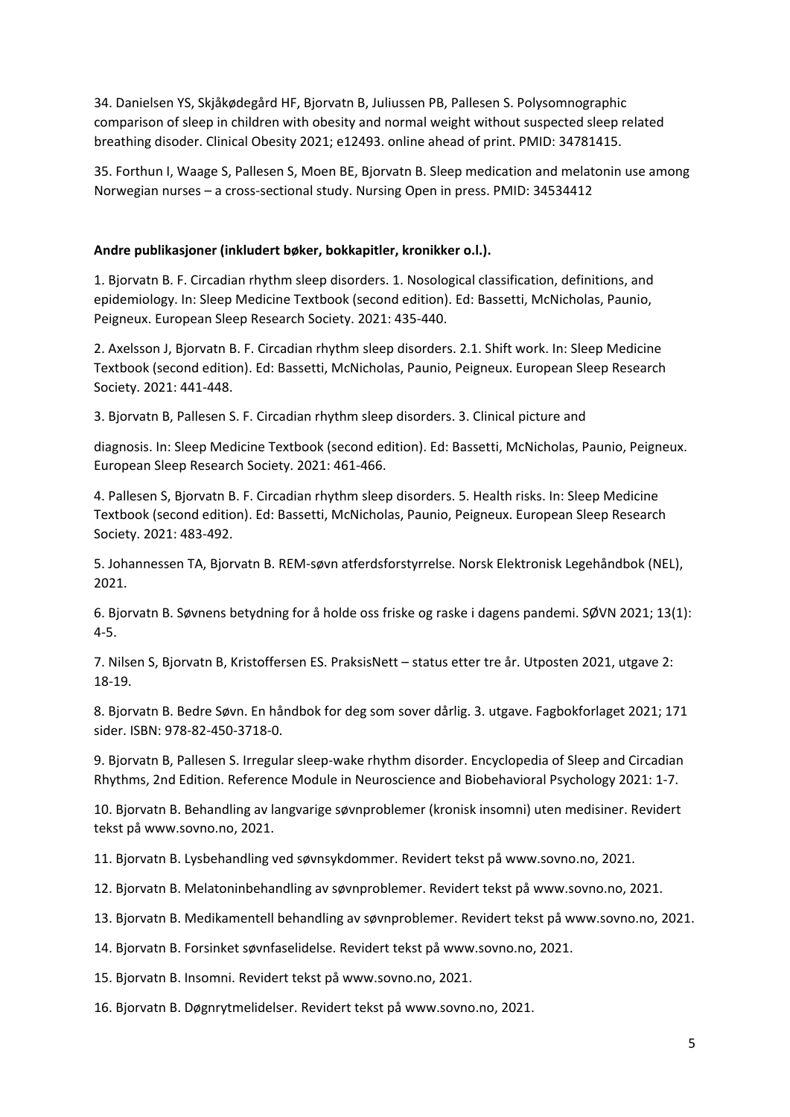34. Danielsen YS, Skjåkødegård HF, Bjorvatn B, Juliussen PB, Pallesen S. Polysomnographic comparison of sleep in children with obesity and normal weight without suspected sleep related breathing disoder. Clinical Obesity 2021; e12493. online ahead of print. PMID: 34781415.

35. Forthun I, Waage S, Pallesen S, Moen BE, Bjorvatn B. Sleep medication and melatonin use among Norwegian nurses – a cross-sectional study. Nursing Open in press. PMID: 34534412

### **Andre publikasjoner (inkludert bøker, bokkapitler, kronikker o.l.).**

1. Bjorvatn B. F. Circadian rhythm sleep disorders. 1. Nosological classification, definitions, and epidemiology. In: Sleep Medicine Textbook (second edition). Ed: Bassetti, McNicholas, Paunio, Peigneux. European Sleep Research Society. 2021: 435-440.

2. Axelsson J, Bjorvatn B. F. Circadian rhythm sleep disorders. 2.1. Shift work. In: Sleep Medicine Textbook (second edition). Ed: Bassetti, McNicholas, Paunio, Peigneux. European Sleep Research Society. 2021: 441-448.

3. Bjorvatn B, Pallesen S. F. Circadian rhythm sleep disorders. 3. Clinical picture and

diagnosis. In: Sleep Medicine Textbook (second edition). Ed: Bassetti, McNicholas, Paunio, Peigneux. European Sleep Research Society. 2021: 461-466.

4. Pallesen S, Bjorvatn B. F. Circadian rhythm sleep disorders. 5. Health risks. In: Sleep Medicine Textbook (second edition). Ed: Bassetti, McNicholas, Paunio, Peigneux. European Sleep Research Society. 2021: 483-492.

5. Johannessen TA, Bjorvatn B. REM-søvn atferdsforstyrrelse. Norsk Elektronisk Legehåndbok (NEL), 2021.

6. Bjorvatn B. Søvnens betydning for å holde oss friske og raske i dagens pandemi. SØVN 2021; 13(1): 4-5.

7. Nilsen S, Bjorvatn B, Kristoffersen ES. PraksisNett – status etter tre år. Utposten 2021, utgave 2: 18-19.

8. Bjorvatn B. Bedre Søvn. En håndbok for deg som sover dårlig. 3. utgave. Fagbokforlaget 2021; 171 sider. ISBN: 978-82-450-3718-0.

9. Bjorvatn B, Pallesen S. Irregular sleep-wake rhythm disorder. Encyclopedia of Sleep and Circadian Rhythms, 2nd Edition. Reference Module in Neuroscience and Biobehavioral Psychology 2021: 1-7.

10. Bjorvatn B. Behandling av langvarige søvnproblemer (kronisk insomni) uten medisiner. Revidert tekst på www.sovno.no, 2021.

11. Bjorvatn B. Lysbehandling ved søvnsykdommer. Revidert tekst på www.sovno.no, 2021.

12. Bjorvatn B. Melatoninbehandling av søvnproblemer. Revidert tekst på www.sovno.no, 2021.

13. Bjorvatn B. Medikamentell behandling av søvnproblemer. Revidert tekst på www.sovno.no, 2021.

14. Bjorvatn B. Forsinket søvnfaselidelse. Revidert tekst på www.sovno.no, 2021.

15. Bjorvatn B. Insomni. Revidert tekst på www.sovno.no, 2021.

16. Bjorvatn B. Døgnrytmelidelser. Revidert tekst på www.sovno.no, 2021.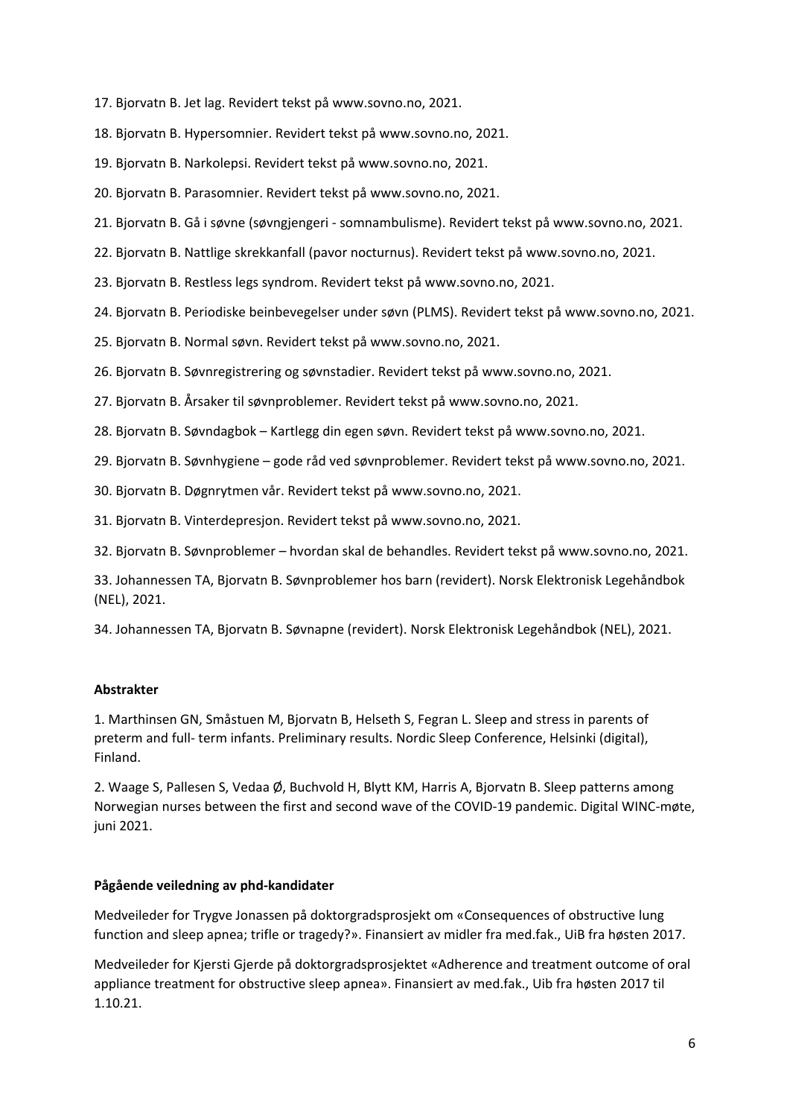- 17. Bjorvatn B. Jet lag. Revidert tekst på www.sovno.no, 2021.
- 18. Bjorvatn B. Hypersomnier. Revidert tekst på www.sovno.no, 2021.
- 19. Bjorvatn B. Narkolepsi. Revidert tekst på www.sovno.no, 2021.
- 20. Bjorvatn B. Parasomnier. Revidert tekst på www.sovno.no, 2021.
- 21. Bjorvatn B. Gå i søvne (søvngjengeri somnambulisme). Revidert tekst på www.sovno.no, 2021.
- 22. Bjorvatn B. Nattlige skrekkanfall (pavor nocturnus). Revidert tekst på www.sovno.no, 2021.
- 23. Bjorvatn B. Restless legs syndrom. Revidert tekst på www.sovno.no, 2021.
- 24. Bjorvatn B. Periodiske beinbevegelser under søvn (PLMS). Revidert tekst på www.sovno.no, 2021.
- 25. Bjorvatn B. Normal søvn. Revidert tekst på www.sovno.no, 2021.
- 26. Bjorvatn B. Søvnregistrering og søvnstadier. Revidert tekst på www.sovno.no, 2021.
- 27. Bjorvatn B. Årsaker til søvnproblemer. Revidert tekst på www.sovno.no, 2021.
- 28. Bjorvatn B. Søvndagbok Kartlegg din egen søvn. Revidert tekst på www.sovno.no, 2021.
- 29. Bjorvatn B. Søvnhygiene gode råd ved søvnproblemer. Revidert tekst på www.sovno.no, 2021.
- 30. Bjorvatn B. Døgnrytmen vår. Revidert tekst på www.sovno.no, 2021.
- 31. Bjorvatn B. Vinterdepresjon. Revidert tekst på www.sovno.no, 2021.
- 32. Bjorvatn B. Søvnproblemer hvordan skal de behandles. Revidert tekst på www.sovno.no, 2021.
- 33. Johannessen TA, Bjorvatn B. Søvnproblemer hos barn (revidert). Norsk Elektronisk Legehåndbok (NEL), 2021.
- 34. Johannessen TA, Bjorvatn B. Søvnapne (revidert). Norsk Elektronisk Legehåndbok (NEL), 2021.

### **Abstrakter**

1. Marthinsen GN, Småstuen M, Bjorvatn B, Helseth S, Fegran L. Sleep and stress in parents of preterm and full- term infants. Preliminary results. Nordic Sleep Conference, Helsinki (digital), Finland.

2. Waage S, Pallesen S, Vedaa Ø, Buchvold H, Blytt KM, Harris A, Bjorvatn B. Sleep patterns among Norwegian nurses between the first and second wave of the COVID-19 pandemic. Digital WINC-møte, juni 2021.

### **Pågående veiledning av phd-kandidater**

Medveileder for Trygve Jonassen på doktorgradsprosjekt om «Consequences of obstructive lung function and sleep apnea; trifle or tragedy?». Finansiert av midler fra med.fak., UiB fra høsten 2017.

Medveileder for Kjersti Gjerde på doktorgradsprosjektet «Adherence and treatment outcome of oral appliance treatment for obstructive sleep apnea». Finansiert av med.fak., Uib fra høsten 2017 til 1.10.21.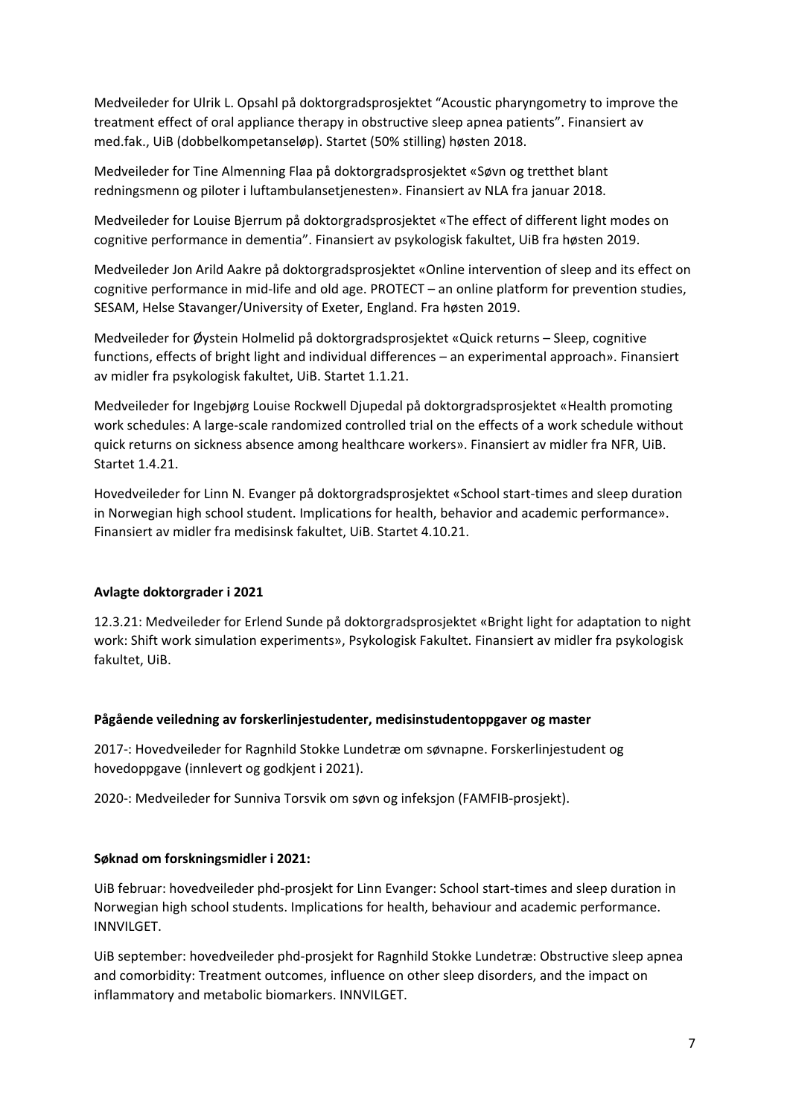Medveileder for Ulrik L. Opsahl på doktorgradsprosjektet "Acoustic pharyngometry to improve the treatment effect of oral appliance therapy in obstructive sleep apnea patients". Finansiert av med.fak., UiB (dobbelkompetanseløp). Startet (50% stilling) høsten 2018.

Medveileder for Tine Almenning Flaa på doktorgradsprosjektet «Søvn og tretthet blant redningsmenn og piloter i luftambulansetjenesten». Finansiert av NLA fra januar 2018.

Medveileder for Louise Bjerrum på doktorgradsprosjektet «The effect of different light modes on cognitive performance in dementia". Finansiert av psykologisk fakultet, UiB fra høsten 2019.

Medveileder Jon Arild Aakre på doktorgradsprosjektet «Online intervention of sleep and its effect on cognitive performance in mid-life and old age. PROTECT – an online platform for prevention studies, SESAM, Helse Stavanger/University of Exeter, England. Fra høsten 2019.

Medveileder for Øystein Holmelid på doktorgradsprosjektet «Quick returns – Sleep, cognitive functions, effects of bright light and individual differences – an experimental approach». Finansiert av midler fra psykologisk fakultet, UiB. Startet 1.1.21.

Medveileder for Ingebjørg Louise Rockwell Djupedal på doktorgradsprosjektet «Health promoting work schedules: A large-scale randomized controlled trial on the effects of a work schedule without quick returns on sickness absence among healthcare workers». Finansiert av midler fra NFR, UiB. Startet 1.4.21.

Hovedveileder for Linn N. Evanger på doktorgradsprosjektet «School start-times and sleep duration in Norwegian high school student. Implications for health, behavior and academic performance». Finansiert av midler fra medisinsk fakultet, UiB. Startet 4.10.21.

### **Avlagte doktorgrader i 2021**

12.3.21: Medveileder for Erlend Sunde på doktorgradsprosjektet «Bright light for adaptation to night work: Shift work simulation experiments», Psykologisk Fakultet. Finansiert av midler fra psykologisk fakultet, UiB.

### **Pågående veiledning av forskerlinjestudenter, medisinstudentoppgaver og master**

2017-: Hovedveileder for Ragnhild Stokke Lundetræ om søvnapne. Forskerlinjestudent og hovedoppgave (innlevert og godkjent i 2021).

2020-: Medveileder for Sunniva Torsvik om søvn og infeksjon (FAMFIB-prosjekt).

### **Søknad om forskningsmidler i 2021:**

UiB februar: hovedveileder phd-prosjekt for Linn Evanger: School start-times and sleep duration in Norwegian high school students. Implications for health, behaviour and academic performance. INNVILGET.

UiB september: hovedveileder phd-prosjekt for Ragnhild Stokke Lundetræ: Obstructive sleep apnea and comorbidity: Treatment outcomes, influence on other sleep disorders, and the impact on inflammatory and metabolic biomarkers. INNVILGET.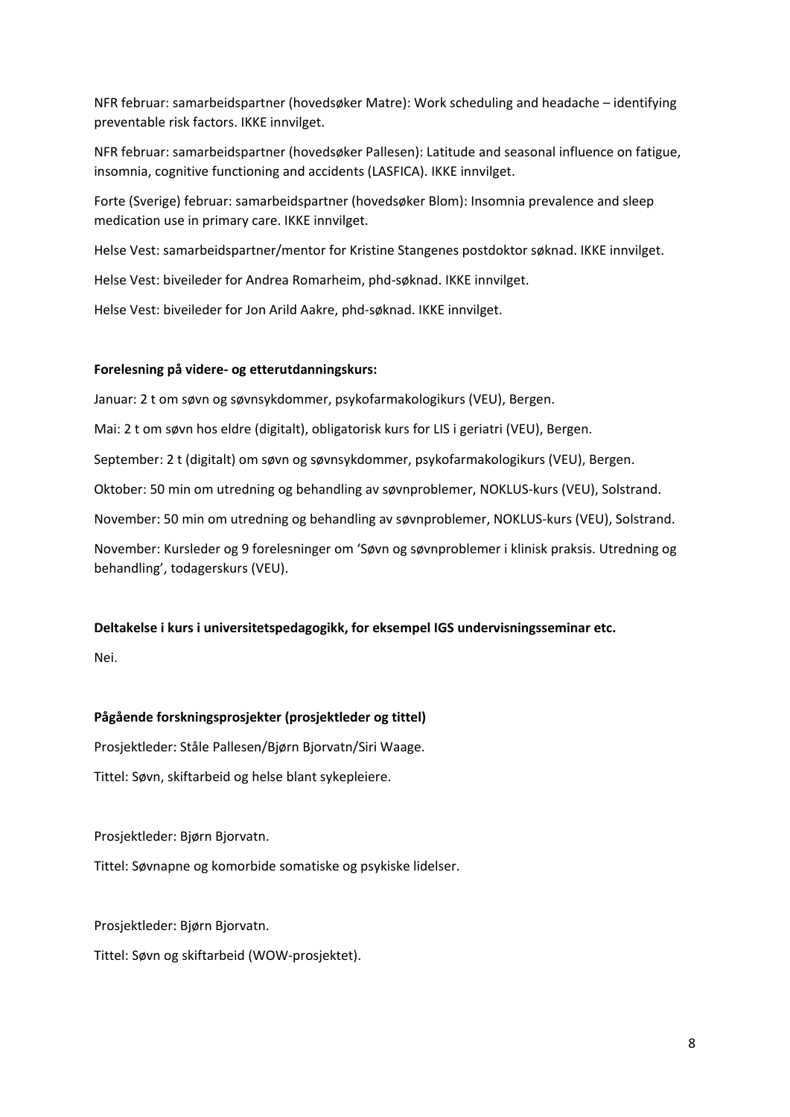NFR februar: samarbeidspartner (hovedsøker Matre): Work scheduling and headache – identifying preventable risk factors. IKKE innvilget.

NFR februar: samarbeidspartner (hovedsøker Pallesen): Latitude and seasonal influence on fatigue, insomnia, cognitive functioning and accidents (LASFICA). IKKE innvilget.

Forte (Sverige) februar: samarbeidspartner (hovedsøker Blom): Insomnia prevalence and sleep medication use in primary care. IKKE innvilget.

Helse Vest: samarbeidspartner/mentor for Kristine Stangenes postdoktor søknad. IKKE innvilget.

Helse Vest: biveileder for Andrea Romarheim, phd-søknad. IKKE innvilget.

Helse Vest: biveileder for Jon Arild Aakre, phd-søknad. IKKE innvilget.

#### **Forelesning på videre- og etterutdanningskurs:**

Januar: 2 t om søvn og søvnsykdommer, psykofarmakologikurs (VEU), Bergen.

Mai: 2 t om søvn hos eldre (digitalt), obligatorisk kurs for LIS i geriatri (VEU), Bergen.

September: 2 t (digitalt) om søvn og søvnsykdommer, psykofarmakologikurs (VEU), Bergen.

Oktober: 50 min om utredning og behandling av søvnproblemer, NOKLUS-kurs (VEU), Solstrand.

November: 50 min om utredning og behandling av søvnproblemer, NOKLUS-kurs (VEU), Solstrand.

November: Kursleder og 9 forelesninger om 'Søvn og søvnproblemer i klinisk praksis. Utredning og behandling', todagerskurs (VEU).

### **Deltakelse i kurs i universitetspedagogikk, for eksempel IGS undervisningsseminar etc.**

Nei.

### **Pågående forskningsprosjekter (prosjektleder og tittel)**

Prosjektleder: Ståle Pallesen/Bjørn Bjorvatn/Siri Waage.

Tittel: Søvn, skiftarbeid og helse blant sykepleiere.

Prosjektleder: Bjørn Bjorvatn.

Tittel: Søvnapne og komorbide somatiske og psykiske lidelser.

Prosjektleder: Bjørn Bjorvatn.

Tittel: Søvn og skiftarbeid (WOW-prosjektet).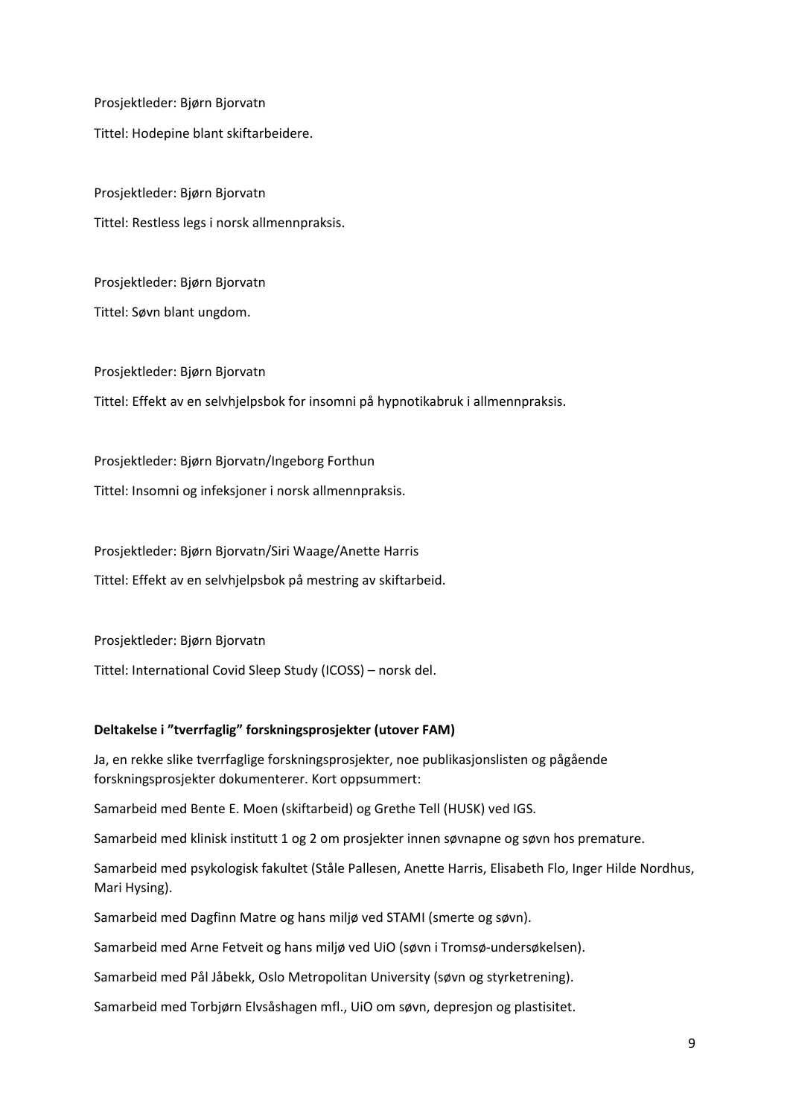Prosjektleder: Bjørn Bjorvatn Tittel: Hodepine blant skiftarbeidere.

Prosjektleder: Bjørn Bjorvatn Tittel: Restless legs i norsk allmennpraksis.

Prosjektleder: Bjørn Bjorvatn Tittel: Søvn blant ungdom.

Prosjektleder: Bjørn Bjorvatn Tittel: Effekt av en selvhjelpsbok for insomni på hypnotikabruk i allmennpraksis.

Prosjektleder: Bjørn Bjorvatn/Ingeborg Forthun

Tittel: Insomni og infeksjoner i norsk allmennpraksis.

Prosjektleder: Bjørn Bjorvatn/Siri Waage/Anette Harris

Tittel: Effekt av en selvhjelpsbok på mestring av skiftarbeid.

Prosjektleder: Bjørn Bjorvatn

Tittel: International Covid Sleep Study (ICOSS) – norsk del.

### **Deltakelse i "tverrfaglig" forskningsprosjekter (utover FAM)**

Ja, en rekke slike tverrfaglige forskningsprosjekter, noe publikasjonslisten og pågående forskningsprosjekter dokumenterer. Kort oppsummert:

Samarbeid med Bente E. Moen (skiftarbeid) og Grethe Tell (HUSK) ved IGS.

Samarbeid med klinisk institutt 1 og 2 om prosjekter innen søvnapne og søvn hos premature.

Samarbeid med psykologisk fakultet (Ståle Pallesen, Anette Harris, Elisabeth Flo, Inger Hilde Nordhus, Mari Hysing).

Samarbeid med Dagfinn Matre og hans miljø ved STAMI (smerte og søvn).

Samarbeid med Arne Fetveit og hans miljø ved UiO (søvn i Tromsø-undersøkelsen).

Samarbeid med Pål Jåbekk, Oslo Metropolitan University (søvn og styrketrening).

Samarbeid med Torbjørn Elvsåshagen mfl., UiO om søvn, depresjon og plastisitet.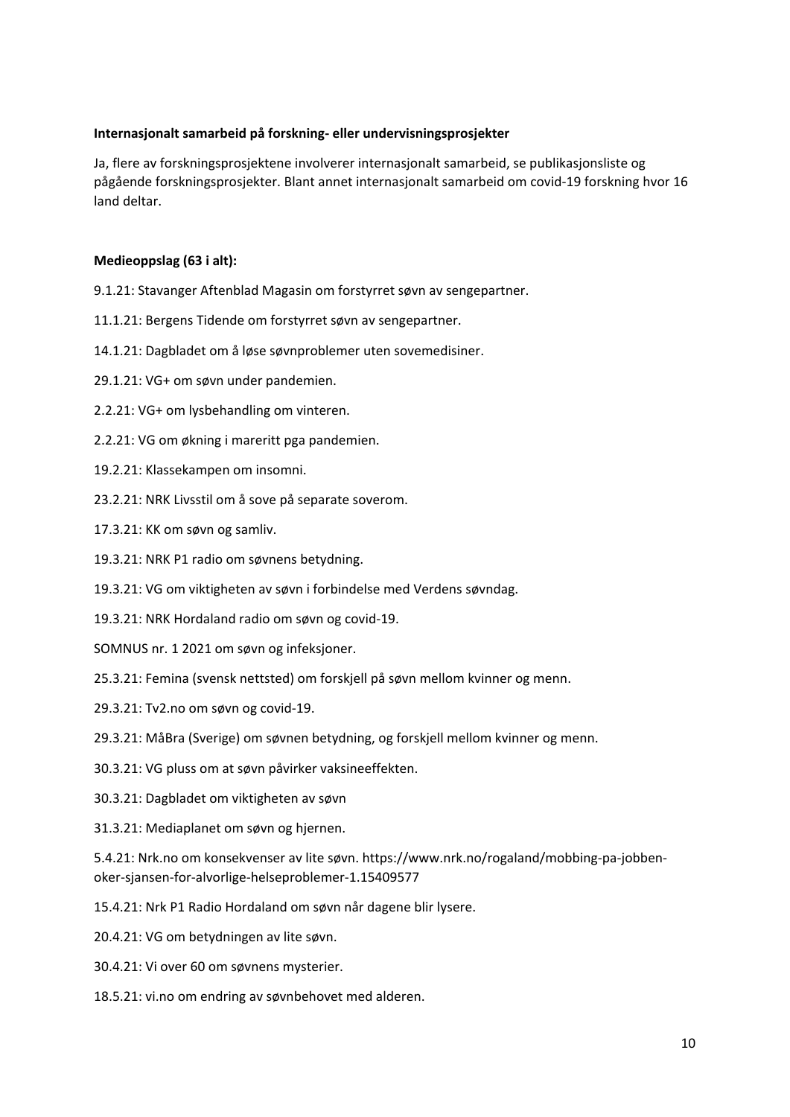### **Internasjonalt samarbeid på forskning- eller undervisningsprosjekter**

Ja, flere av forskningsprosjektene involverer internasjonalt samarbeid, se publikasjonsliste og pågående forskningsprosjekter. Blant annet internasjonalt samarbeid om covid-19 forskning hvor 16 land deltar.

### **Medieoppslag (63 i alt):**

- 9.1.21: Stavanger Aftenblad Magasin om forstyrret søvn av sengepartner.
- 11.1.21: Bergens Tidende om forstyrret søvn av sengepartner.
- 14.1.21: Dagbladet om å løse søvnproblemer uten sovemedisiner.
- 29.1.21: VG+ om søvn under pandemien.
- 2.2.21: VG+ om lysbehandling om vinteren.
- 2.2.21: VG om økning i mareritt pga pandemien.
- 19.2.21: Klassekampen om insomni.
- 23.2.21: NRK Livsstil om å sove på separate soverom.
- 17.3.21: KK om søvn og samliv.
- 19.3.21: NRK P1 radio om søvnens betydning.
- 19.3.21: VG om viktigheten av søvn i forbindelse med Verdens søvndag.
- 19.3.21: NRK Hordaland radio om søvn og covid-19.
- SOMNUS nr. 1 2021 om søvn og infeksjoner.
- 25.3.21: Femina (svensk nettsted) om forskjell på søvn mellom kvinner og menn.
- 29.3.21: Tv2.no om søvn og covid-19.
- 29.3.21: MåBra (Sverige) om søvnen betydning, og forskjell mellom kvinner og menn.
- 30.3.21: VG pluss om at søvn påvirker vaksineeffekten.
- 30.3.21: Dagbladet om viktigheten av søvn
- 31.3.21: Mediaplanet om søvn og hjernen.

5.4.21: Nrk.no om konsekvenser av lite søvn. https://www.nrk.no/rogaland/mobbing-pa-jobbenoker-sjansen-for-alvorlige-helseproblemer-1.15409577

- 15.4.21: Nrk P1 Radio Hordaland om søvn når dagene blir lysere.
- 20.4.21: VG om betydningen av lite søvn.
- 30.4.21: Vi over 60 om søvnens mysterier.
- 18.5.21: vi.no om endring av søvnbehovet med alderen.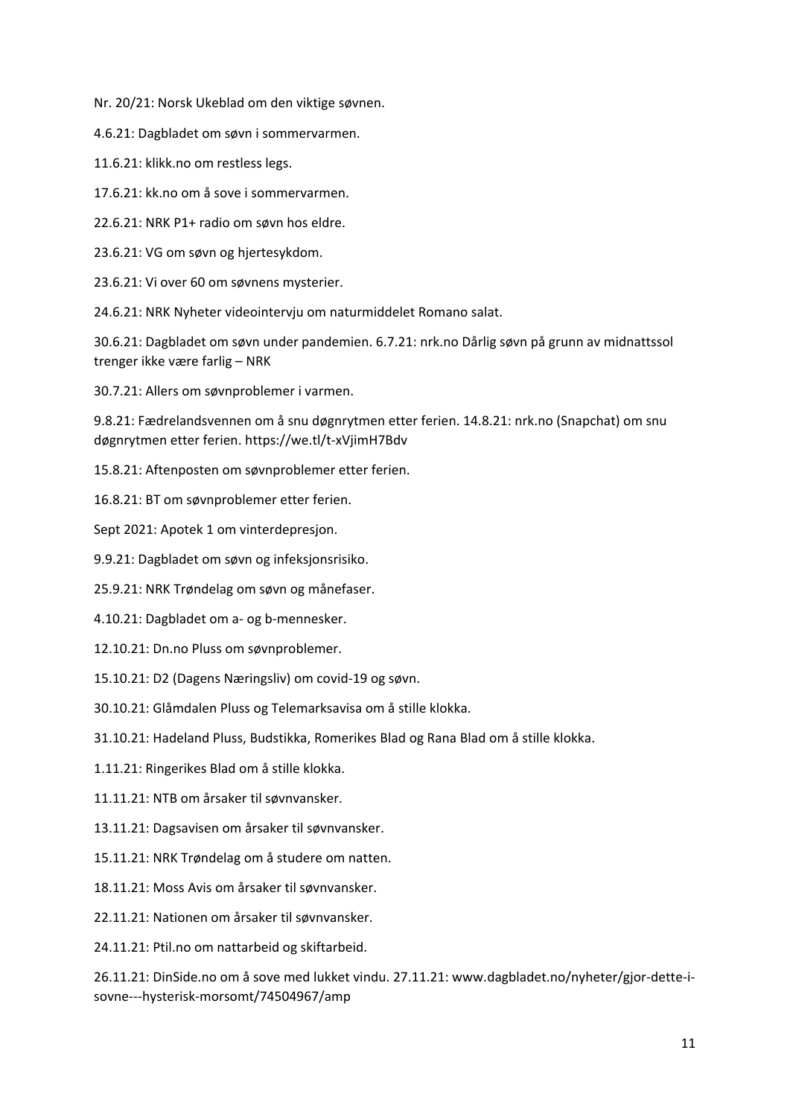Nr. 20/21: Norsk Ukeblad om den viktige søvnen.

4.6.21: Dagbladet om søvn i sommervarmen.

11.6.21: klikk.no om restless legs.

17.6.21: kk.no om å sove i sommervarmen.

22.6.21: NRK P1+ radio om søvn hos eldre.

23.6.21: VG om søvn og hjertesykdom.

23.6.21: Vi over 60 om søvnens mysterier.

24.6.21: NRK Nyheter videointervju om naturmiddelet Romano salat.

30.6.21: Dagbladet om søvn under pandemien. 6.7.21: nrk.no Dårlig søvn på grunn av midnattssol trenger ikke være farlig – NRK

30.7.21: Allers om søvnproblemer i varmen.

9.8.21: Fædrelandsvennen om å snu døgnrytmen etter ferien. 14.8.21: nrk.no (Snapchat) om snu døgnrytmen etter ferien. https://we.tl/t-xVjimH7Bdv

15.8.21: Aftenposten om søvnproblemer etter ferien.

16.8.21: BT om søvnproblemer etter ferien.

Sept 2021: Apotek 1 om vinterdepresjon.

9.9.21: Dagbladet om søvn og infeksjonsrisiko.

25.9.21: NRK Trøndelag om søvn og månefaser.

4.10.21: Dagbladet om a- og b-mennesker.

12.10.21: Dn.no Pluss om søvnproblemer.

15.10.21: D2 (Dagens Næringsliv) om covid-19 og søvn.

30.10.21: Glåmdalen Pluss og Telemarksavisa om å stille klokka.

31.10.21: Hadeland Pluss, Budstikka, Romerikes Blad og Rana Blad om å stille klokka.

1.11.21: Ringerikes Blad om å stille klokka.

11.11.21: NTB om årsaker til søvnvansker.

13.11.21: Dagsavisen om årsaker til søvnvansker.

15.11.21: NRK Trøndelag om å studere om natten.

18.11.21: Moss Avis om årsaker til søvnvansker.

22.11.21: Nationen om årsaker til søvnvansker.

24.11.21: Ptil.no om nattarbeid og skiftarbeid.

26.11.21: DinSide.no om å sove med lukket vindu. 27.11.21: www.dagbladet.no/nyheter/gjor-dette-isovne---hysterisk-morsomt/74504967/amp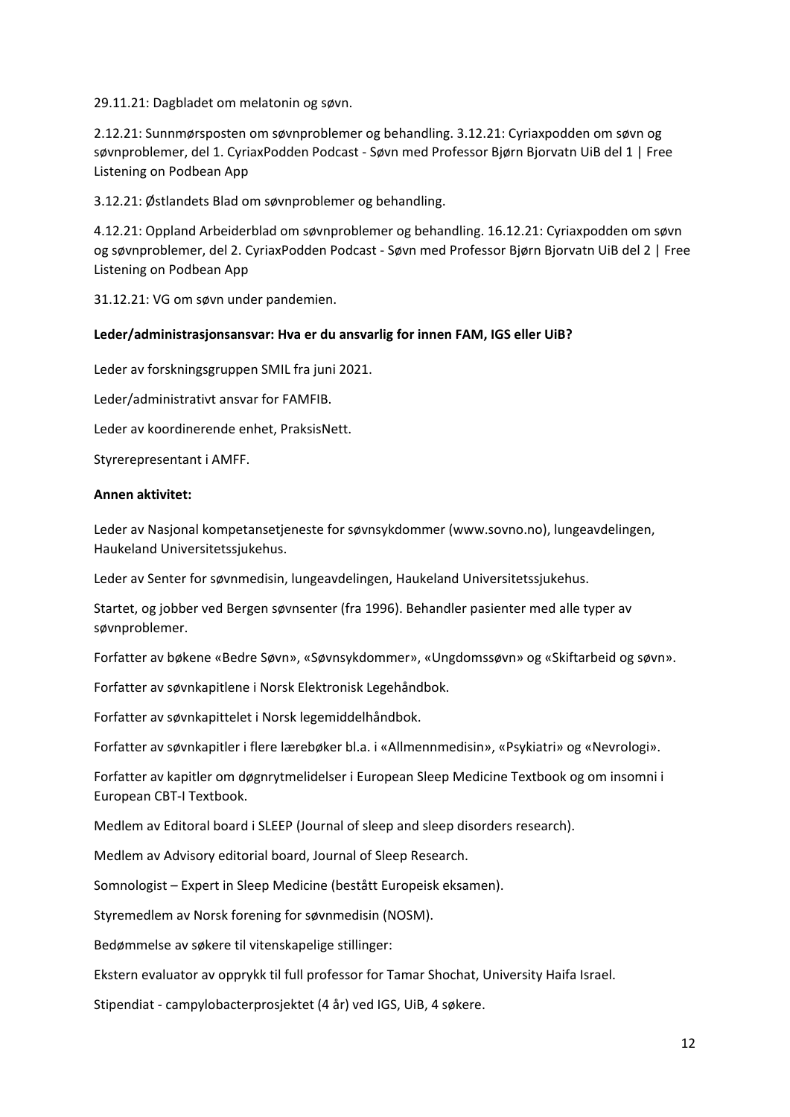29.11.21: Dagbladet om melatonin og søvn.

2.12.21: Sunnmørsposten om søvnproblemer og behandling. 3.12.21: Cyriaxpodden om søvn og søvnproblemer, del 1. CyriaxPodden Podcast - Søvn med Professor Bjørn Bjorvatn UiB del 1 | Free Listening on Podbean App

3.12.21: Østlandets Blad om søvnproblemer og behandling.

4.12.21: Oppland Arbeiderblad om søvnproblemer og behandling. 16.12.21: Cyriaxpodden om søvn og søvnproblemer, del 2. CyriaxPodden Podcast - Søvn med Professor Bjørn Bjorvatn UiB del 2 | Free Listening on Podbean App

31.12.21: VG om søvn under pandemien.

#### **Leder/administrasjonsansvar: Hva er du ansvarlig for innen FAM, IGS eller UiB?**

Leder av forskningsgruppen SMIL fra juni 2021.

Leder/administrativt ansvar for FAMFIB.

Leder av koordinerende enhet, PraksisNett.

Styrerepresentant i AMFF.

#### **Annen aktivitet:**

Leder av Nasjonal kompetansetjeneste for søvnsykdommer (www.sovno.no), lungeavdelingen, Haukeland Universitetssjukehus.

Leder av Senter for søvnmedisin, lungeavdelingen, Haukeland Universitetssjukehus.

Startet, og jobber ved Bergen søvnsenter (fra 1996). Behandler pasienter med alle typer av søvnproblemer.

Forfatter av bøkene «Bedre Søvn», «Søvnsykdommer», «Ungdomssøvn» og «Skiftarbeid og søvn».

Forfatter av søvnkapitlene i Norsk Elektronisk Legehåndbok.

Forfatter av søvnkapittelet i Norsk legemiddelhåndbok.

Forfatter av søvnkapitler i flere lærebøker bl.a. i «Allmennmedisin», «Psykiatri» og «Nevrologi».

Forfatter av kapitler om døgnrytmelidelser i European Sleep Medicine Textbook og om insomni i European CBT-I Textbook.

Medlem av Editoral board i SLEEP (Journal of sleep and sleep disorders research).

Medlem av Advisory editorial board, Journal of Sleep Research.

Somnologist – Expert in Sleep Medicine (bestått Europeisk eksamen).

Styremedlem av Norsk forening for søvnmedisin (NOSM).

Bedømmelse av søkere til vitenskapelige stillinger:

Ekstern evaluator av opprykk til full professor for Tamar Shochat, University Haifa Israel.

Stipendiat - campylobacterprosjektet (4 år) ved IGS, UiB, 4 søkere.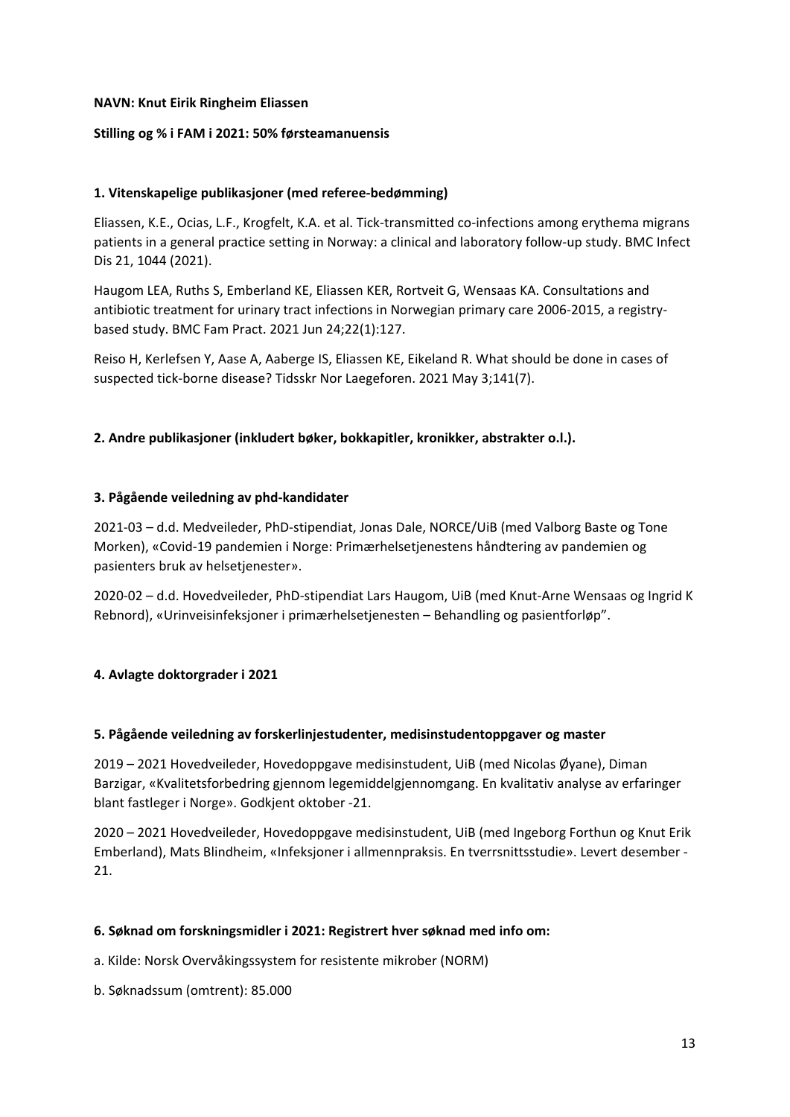### **NAVN: Knut Eirik Ringheim Eliassen**

### **Stilling og % i FAM i 2021: 50% førsteamanuensis**

### **1. Vitenskapelige publikasjoner (med referee-bedømming)**

Eliassen, K.E., Ocias, L.F., Krogfelt, K.A. et al. Tick-transmitted co-infections among erythema migrans patients in a general practice setting in Norway: a clinical and laboratory follow-up study. BMC Infect Dis 21, 1044 (2021).

Haugom LEA, Ruths S, Emberland KE, Eliassen KER, Rortveit G, Wensaas KA. Consultations and antibiotic treatment for urinary tract infections in Norwegian primary care 2006-2015, a registrybased study. BMC Fam Pract. 2021 Jun 24;22(1):127.

Reiso H, Kerlefsen Y, Aase A, Aaberge IS, Eliassen KE, Eikeland R. What should be done in cases of suspected tick-borne disease? Tidsskr Nor Laegeforen. 2021 May 3;141(7).

### **2. Andre publikasjoner (inkludert bøker, bokkapitler, kronikker, abstrakter o.l.).**

### **3. Pågående veiledning av phd-kandidater**

2021-03 – d.d. Medveileder, PhD-stipendiat, Jonas Dale, NORCE/UiB (med Valborg Baste og Tone Morken), «Covid-19 pandemien i Norge: Primærhelsetjenestens håndtering av pandemien og pasienters bruk av helsetjenester».

2020-02 – d.d. Hovedveileder, PhD-stipendiat Lars Haugom, UiB (med Knut-Arne Wensaas og Ingrid K Rebnord), «Urinveisinfeksjoner i primærhelsetjenesten – Behandling og pasientforløp".

### **4. Avlagte doktorgrader i 2021**

### **5. Pågående veiledning av forskerlinjestudenter, medisinstudentoppgaver og master**

2019 – 2021 Hovedveileder, Hovedoppgave medisinstudent, UiB (med Nicolas Øyane), Diman Barzigar, «Kvalitetsforbedring gjennom legemiddelgjennomgang. En kvalitativ analyse av erfaringer blant fastleger i Norge». Godkjent oktober -21.

2020 – 2021 Hovedveileder, Hovedoppgave medisinstudent, UiB (med Ingeborg Forthun og Knut Erik Emberland), Mats Blindheim, «Infeksjoner i allmennpraksis. En tverrsnittsstudie». Levert desember - 21.

### **6. Søknad om forskningsmidler i 2021: Registrert hver søknad med info om:**

a. Kilde: Norsk Overvåkingssystem for resistente mikrober (NORM)

b. Søknadssum (omtrent): 85.000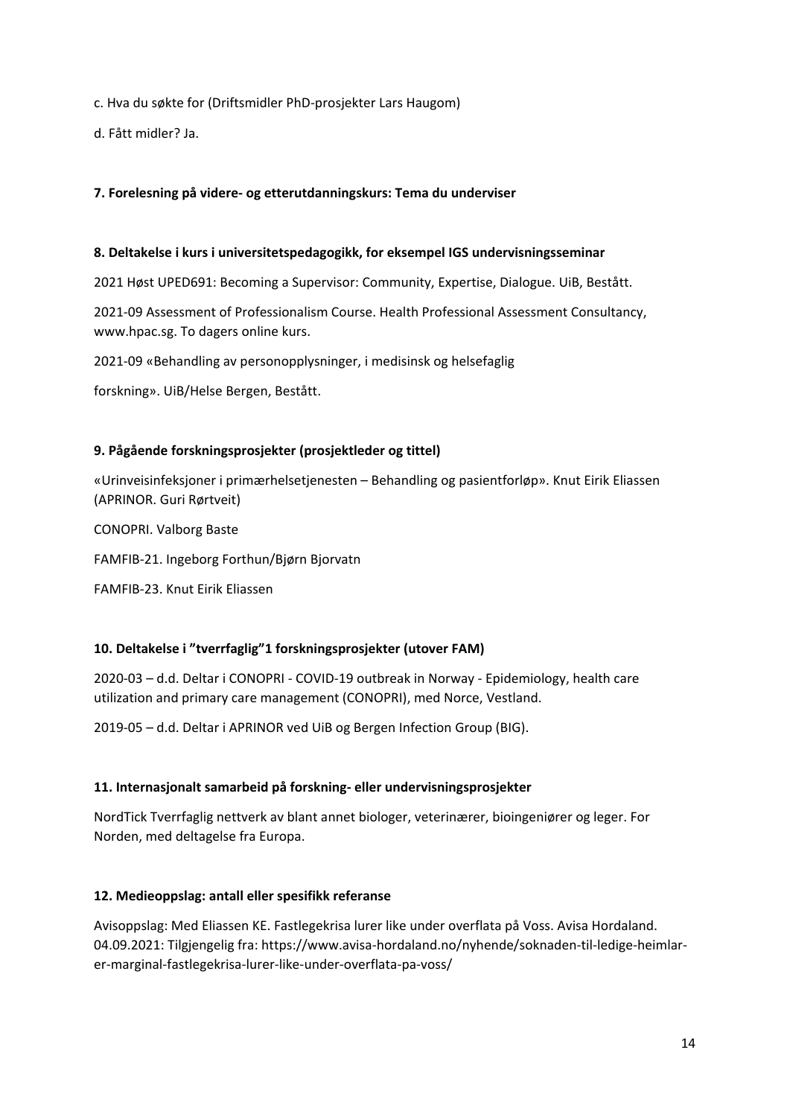c. Hva du søkte for (Driftsmidler PhD-prosjekter Lars Haugom)

d. Fått midler? Ja.

### **7. Forelesning på videre- og etterutdanningskurs: Tema du underviser**

#### **8. Deltakelse i kurs i universitetspedagogikk, for eksempel IGS undervisningsseminar**

2021 Høst UPED691: Becoming a Supervisor: Community, Expertise, Dialogue. UiB, Bestått.

2021-09 Assessment of Professionalism Course. Health Professional Assessment Consultancy, www.hpac.sg. To dagers online kurs.

2021-09 «Behandling av personopplysninger, i medisinsk og helsefaglig

forskning». UiB/Helse Bergen, Bestått.

### **9. Pågående forskningsprosjekter (prosjektleder og tittel)**

«Urinveisinfeksjoner i primærhelsetjenesten – Behandling og pasientforløp». Knut Eirik Eliassen (APRINOR. Guri Rørtveit)

CONOPRI. Valborg Baste

FAMFIB-21. Ingeborg Forthun/Bjørn Bjorvatn

FAMFIB-23. Knut Eirik Eliassen

### **10. Deltakelse i "tverrfaglig"1 forskningsprosjekter (utover FAM)**

2020-03 – d.d. Deltar i CONOPRI - COVID-19 outbreak in Norway - Epidemiology, health care utilization and primary care management (CONOPRI), med Norce, Vestland.

2019-05 – d.d. Deltar i APRINOR ved UiB og Bergen Infection Group (BIG).

### **11. Internasjonalt samarbeid på forskning- eller undervisningsprosjekter**

NordTick Tverrfaglig nettverk av blant annet biologer, veterinærer, bioingeniører og leger. For Norden, med deltagelse fra Europa.

### **12. Medieoppslag: antall eller spesifikk referanse**

Avisoppslag: Med Eliassen KE. Fastlegekrisa lurer like under overflata på Voss. Avisa Hordaland. 04.09.2021: Tilgjengelig fra: https://www.avisa-hordaland.no/nyhende/soknaden-til-ledige-heimlarer-marginal-fastlegekrisa-lurer-like-under-overflata-pa-voss/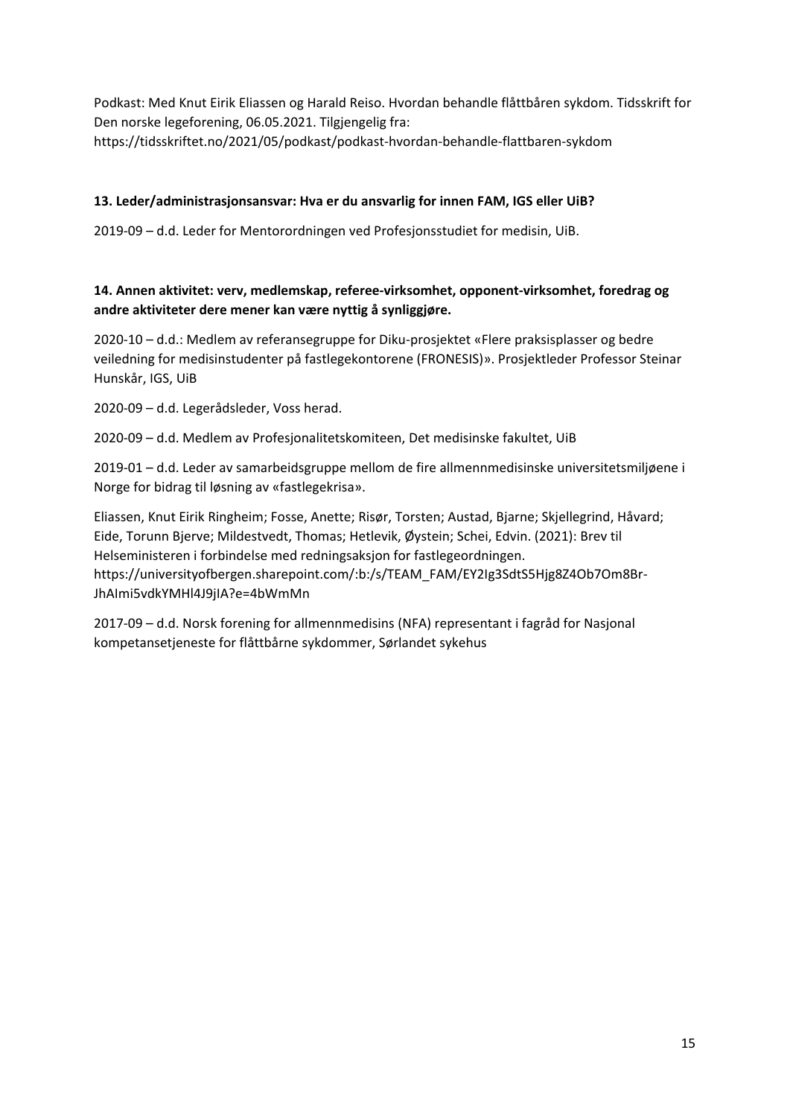Podkast: Med Knut Eirik Eliassen og Harald Reiso. Hvordan behandle flåttbåren sykdom. Tidsskrift for Den norske legeforening, 06.05.2021. Tilgjengelig fra: https://tidsskriftet.no/2021/05/podkast/podkast-hvordan-behandle-flattbaren-sykdom

### **13. Leder/administrasjonsansvar: Hva er du ansvarlig for innen FAM, IGS eller UiB?**

2019-09 – d.d. Leder for Mentorordningen ved Profesjonsstudiet for medisin, UiB.

### **14. Annen aktivitet: verv, medlemskap, referee-virksomhet, opponent-virksomhet, foredrag og andre aktiviteter dere mener kan være nyttig å synliggjøre.**

2020-10 – d.d.: Medlem av referansegruppe for Diku-prosjektet «Flere praksisplasser og bedre veiledning for medisinstudenter på fastlegekontorene (FRONESIS)». Prosjektleder Professor Steinar Hunskår, IGS, UiB

2020-09 – d.d. Legerådsleder, Voss herad.

2020-09 – d.d. Medlem av Profesjonalitetskomiteen, Det medisinske fakultet, UiB

2019-01 – d.d. Leder av samarbeidsgruppe mellom de fire allmennmedisinske universitetsmiljøene i Norge for bidrag til løsning av «fastlegekrisa».

Eliassen, Knut Eirik Ringheim; Fosse, Anette; Risør, Torsten; Austad, Bjarne; Skjellegrind, Håvard; Eide, Torunn Bjerve; Mildestvedt, Thomas; Hetlevik, Øystein; Schei, Edvin. (2021): Brev til Helseministeren i forbindelse med redningsaksjon for fastlegeordningen. https://universityofbergen.sharepoint.com/:b:/s/TEAM\_FAM/EY2Ig3SdtS5Hjg8Z4Ob7Om8Br-JhAImi5vdkYMHl4J9jIA?e=4bWmMn

2017-09 – d.d. Norsk forening for allmennmedisins (NFA) representant i fagråd for Nasjonal kompetansetjeneste for flåttbårne sykdommer, Sørlandet sykehus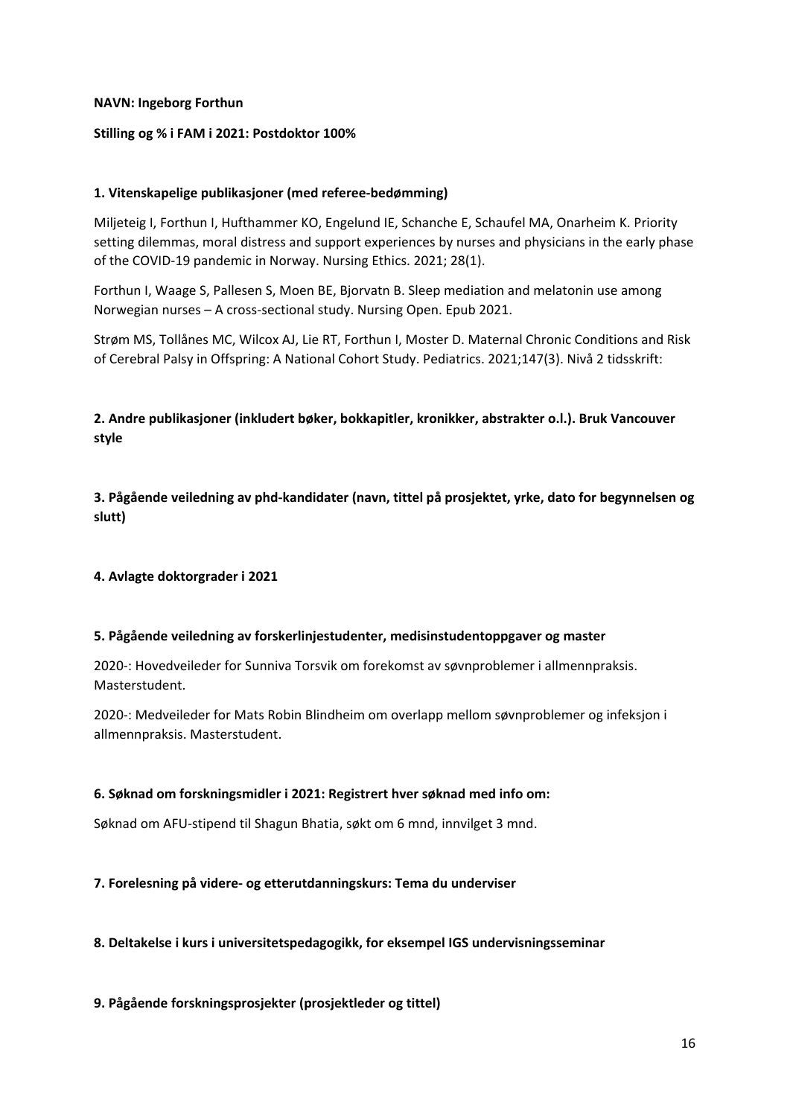### **NAVN: Ingeborg Forthun**

### **Stilling og % i FAM i 2021: Postdoktor 100%**

### **1. Vitenskapelige publikasjoner (med referee-bedømming)**

Miljeteig I, Forthun I, Hufthammer KO, Engelund IE, Schanche E, Schaufel MA, Onarheim K. Priority setting dilemmas, moral distress and support experiences by nurses and physicians in the early phase of the COVID-19 pandemic in Norway. Nursing Ethics. 2021; 28(1).

Forthun I, Waage S, Pallesen S, Moen BE, Bjorvatn B. Sleep mediation and melatonin use among Norwegian nurses – A cross-sectional study. Nursing Open. Epub 2021.

Strøm MS, Tollånes MC, Wilcox AJ, Lie RT, Forthun I, Moster D. Maternal Chronic Conditions and Risk of Cerebral Palsy in Offspring: A National Cohort Study. Pediatrics. 2021;147(3). Nivå 2 tidsskrift:

**2. Andre publikasjoner (inkludert bøker, bokkapitler, kronikker, abstrakter o.l.). Bruk Vancouver style**

**3. Pågående veiledning av phd-kandidater (navn, tittel på prosjektet, yrke, dato for begynnelsen og slutt)**

### **4. Avlagte doktorgrader i 2021**

### **5. Pågående veiledning av forskerlinjestudenter, medisinstudentoppgaver og master**

2020-: Hovedveileder for Sunniva Torsvik om forekomst av søvnproblemer i allmennpraksis. Masterstudent.

2020-: Medveileder for Mats Robin Blindheim om overlapp mellom søvnproblemer og infeksjon i allmennpraksis. Masterstudent.

### **6. Søknad om forskningsmidler i 2021: Registrert hver søknad med info om:**

Søknad om AFU-stipend til Shagun Bhatia, søkt om 6 mnd, innvilget 3 mnd.

### **7. Forelesning på videre- og etterutdanningskurs: Tema du underviser**

### **8. Deltakelse i kurs i universitetspedagogikk, for eksempel IGS undervisningsseminar**

### **9. Pågående forskningsprosjekter (prosjektleder og tittel)**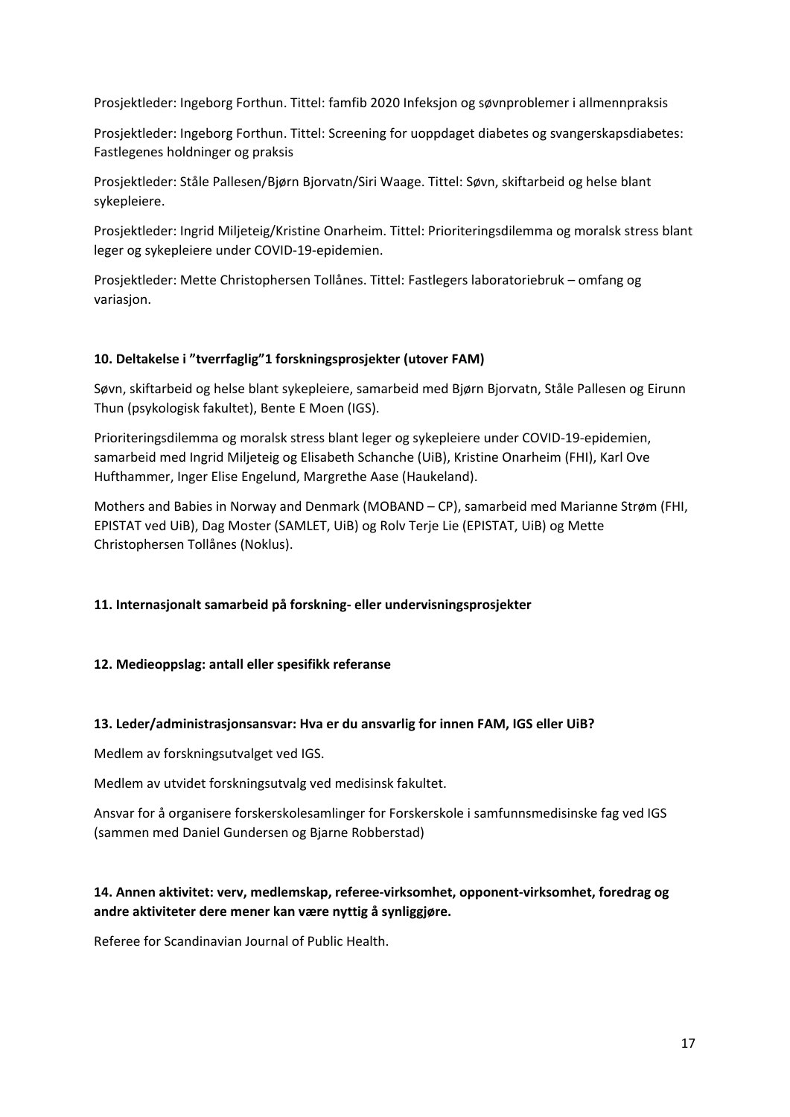Prosjektleder: Ingeborg Forthun. Tittel: famfib 2020 Infeksjon og søvnproblemer i allmennpraksis

Prosjektleder: Ingeborg Forthun. Tittel: Screening for uoppdaget diabetes og svangerskapsdiabetes: Fastlegenes holdninger og praksis

Prosjektleder: Ståle Pallesen/Bjørn Bjorvatn/Siri Waage. Tittel: Søvn, skiftarbeid og helse blant sykepleiere.

Prosjektleder: Ingrid Miljeteig/Kristine Onarheim. Tittel: Prioriteringsdilemma og moralsk stress blant leger og sykepleiere under COVID-19-epidemien.

Prosjektleder: Mette Christophersen Tollånes. Tittel: Fastlegers laboratoriebruk – omfang og variasjon.

### **10. Deltakelse i "tverrfaglig"1 forskningsprosjekter (utover FAM)**

Søvn, skiftarbeid og helse blant sykepleiere, samarbeid med Bjørn Bjorvatn, Ståle Pallesen og Eirunn Thun (psykologisk fakultet), Bente E Moen (IGS).

Prioriteringsdilemma og moralsk stress blant leger og sykepleiere under COVID-19-epidemien, samarbeid med Ingrid Miljeteig og Elisabeth Schanche (UiB), Kristine Onarheim (FHI), Karl Ove Hufthammer, Inger Elise Engelund, Margrethe Aase (Haukeland).

Mothers and Babies in Norway and Denmark (MOBAND – CP), samarbeid med Marianne Strøm (FHI, EPISTAT ved UiB), Dag Moster (SAMLET, UiB) og Rolv Terje Lie (EPISTAT, UiB) og Mette Christophersen Tollånes (Noklus).

### **11. Internasjonalt samarbeid på forskning- eller undervisningsprosjekter**

### **12. Medieoppslag: antall eller spesifikk referanse**

### **13. Leder/administrasjonsansvar: Hva er du ansvarlig for innen FAM, IGS eller UiB?**

Medlem av forskningsutvalget ved IGS.

Medlem av utvidet forskningsutvalg ved medisinsk fakultet.

Ansvar for å organisere forskerskolesamlinger for Forskerskole i samfunnsmedisinske fag ved IGS (sammen med Daniel Gundersen og Bjarne Robberstad)

### **14. Annen aktivitet: verv, medlemskap, referee-virksomhet, opponent-virksomhet, foredrag og andre aktiviteter dere mener kan være nyttig å synliggjøre.**

Referee for Scandinavian Journal of Public Health.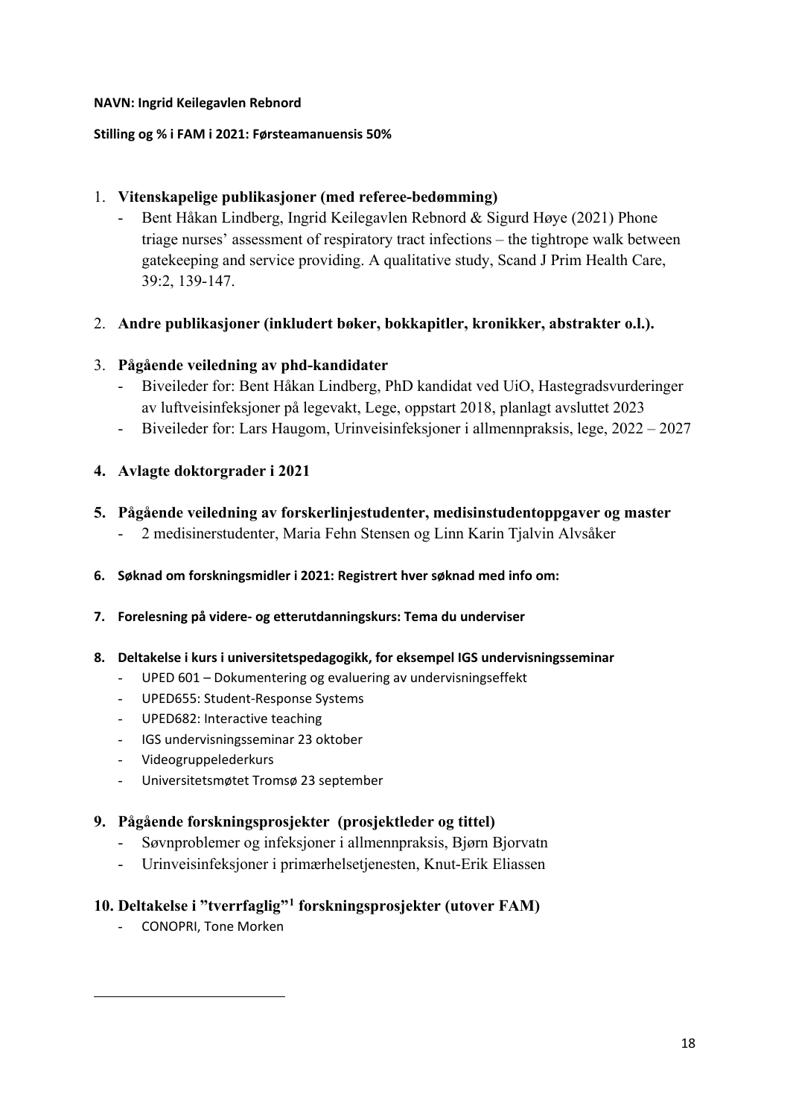### **NAVN: Ingrid Keilegavlen Rebnord**

### **Stilling og % i FAM i 2021: Førsteamanuensis 50%**

### 1. **Vitenskapelige publikasjoner (med referee-bedømming)**

- Bent Håkan Lindberg, Ingrid Keilegavlen Rebnord & Sigurd Høye (2021) Phone triage nurses' assessment of respiratory tract infections – the tightrope walk between gatekeeping and service providing. A qualitative study, Scand J Prim Health Care, 39:2, 139-147.

### 2. **Andre publikasjoner (inkludert bøker, bokkapitler, kronikker, abstrakter o.l.).**

### 3. **Pågående veiledning av phd-kandidater**

- Biveileder for: Bent Håkan Lindberg, PhD kandidat ved UiO, Hastegradsvurderinger av luftveisinfeksjoner på legevakt, Lege, oppstart 2018, planlagt avsluttet 2023
- Biveileder for: Lars Haugom, Urinveisinfeksjoner i allmennpraksis, lege, 2022 2027

### **4. Avlagte doktorgrader i 2021**

### **5. Pågående veiledning av forskerlinjestudenter, medisinstudentoppgaver og master**

- 2 medisinerstudenter, Maria Fehn Stensen og Linn Karin Tjalvin Alvsåker
- **6. Søknad om forskningsmidler i 2021: Registrert hver søknad med info om:**
- **7. Forelesning på videre- og etterutdanningskurs: Tema du underviser**

### **8. Deltakelse i kurs i universitetspedagogikk, for eksempel IGS undervisningsseminar**

- UPED 601 Dokumentering og evaluering av undervisningseffekt
- UPED655: Student-Response Systems
- UPED682: Interactive teaching
- IGS undervisningsseminar 23 oktober
- Videogruppelederkurs
- Universitetsmøtet Tromsø 23 september

### **9. Pågående forskningsprosjekter (prosjektleder og tittel)**

- Søvnproblemer og infeksjoner i allmennpraksis, Bjørn Bjorvatn
- Urinveisinfeksjoner i primærhelsetjenesten, Knut-Erik Eliassen

### <span id="page-17-0"></span>**10. Deltakelse i "tverrfaglig"[1](#page-17-0) forskningsprosjekter (utover FAM)**

- CONOPRI, Tone Morken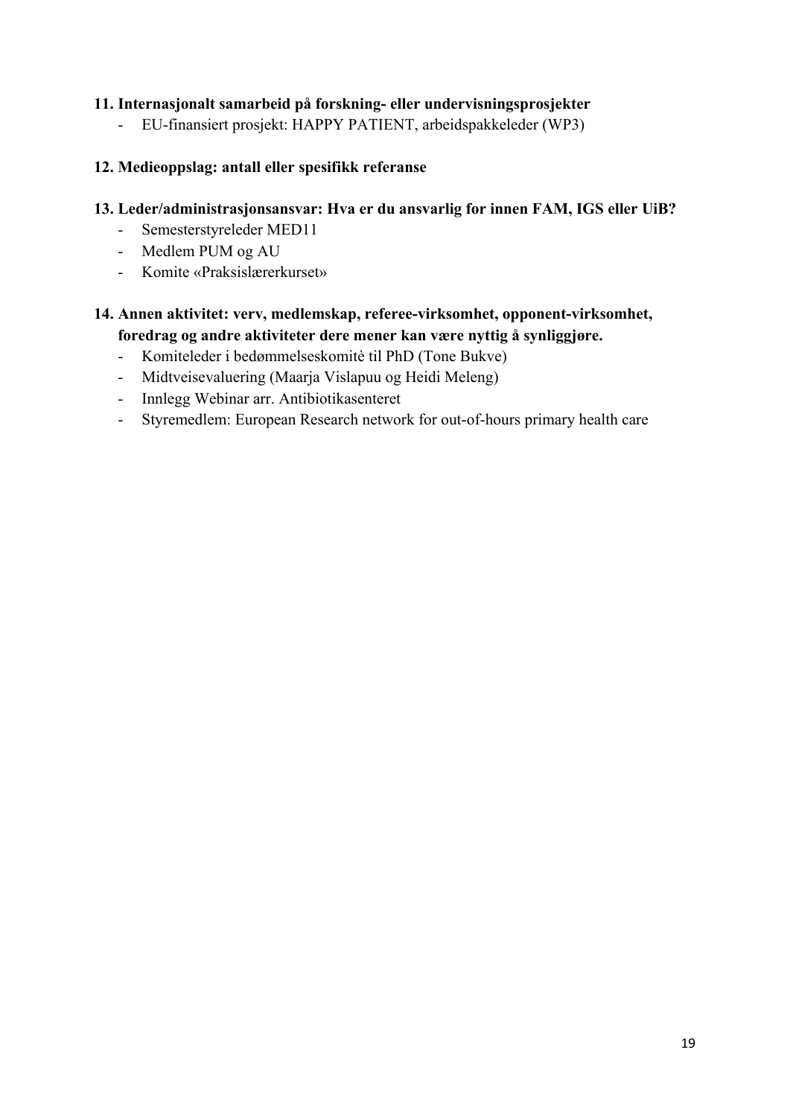### **11. Internasjonalt samarbeid på forskning- eller undervisningsprosjekter**

- EU-finansiert prosjekt: HAPPY PATIENT, arbeidspakkeleder (WP3)

### **12. Medieoppslag: antall eller spesifikk referanse**

### **13. Leder/administrasjonsansvar: Hva er du ansvarlig for innen FAM, IGS eller UiB?**

- Semesterstyreleder MED11
- Medlem PUM og AU
- Komite «Praksislærerkurset»

### **14. Annen aktivitet: verv, medlemskap, referee-virksomhet, opponent-virksomhet, foredrag og andre aktiviteter dere mener kan være nyttig å synliggjøre.**

- Komiteleder i bedømmelseskomitè til PhD (Tone Bukve)
- Midtveisevaluering (Maarja Vislapuu og Heidi Meleng)
- Innlegg Webinar arr. Antibiotikasenteret
- Styremedlem: European Research network for out-of-hours primary health care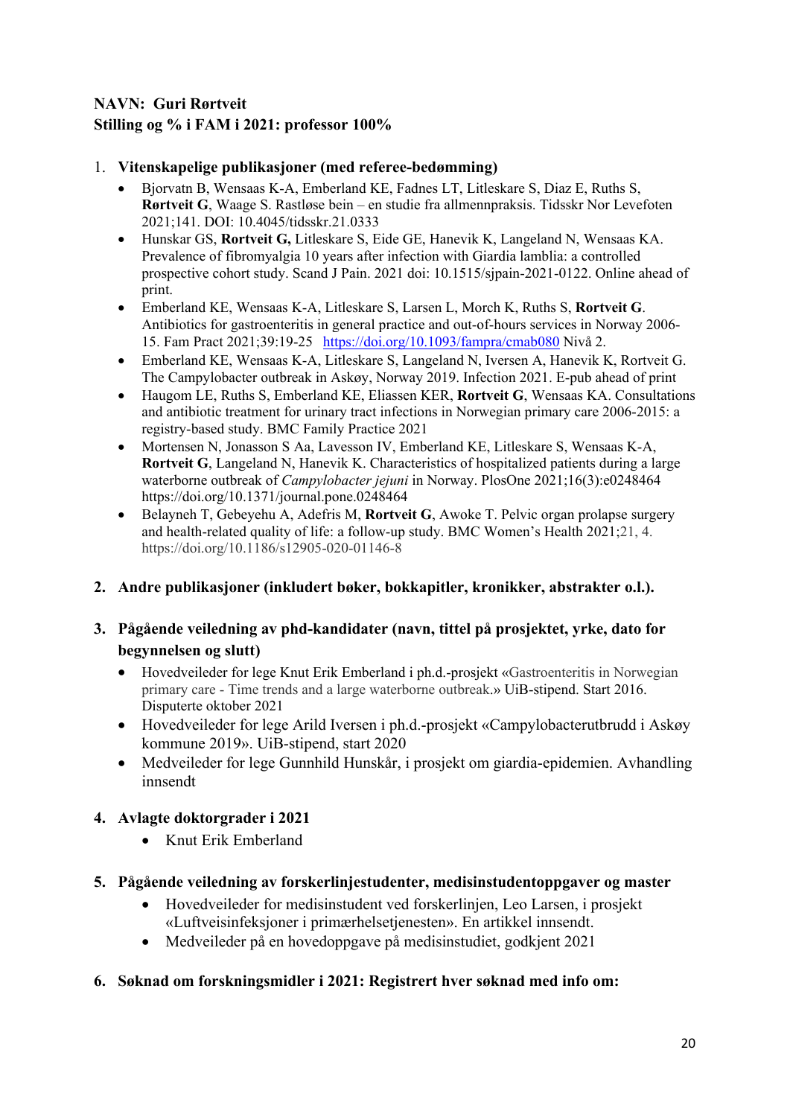### **NAVN: Guri Rørtveit Stilling og % i FAM i 2021: professor 100%**

### 1. **Vitenskapelige publikasjoner (med referee-bedømming)**

- Bjorvatn B, Wensaas K-A, Emberland KE, Fadnes LT, Litleskare S, Diaz E, Ruths S, **Rørtveit G**, Waage S. Rastløse bein – en studie fra allmennpraksis. Tidsskr Nor Levefoten 2021;141. DOI: 10.4045/tidsskr.21.0333
- Hunskar GS, **Rortveit G,** Litleskare S, Eide GE, Hanevik K, Langeland N, Wensaas KA. Prevalence of fibromyalgia 10 years after infection with Giardia lamblia: a controlled prospective cohort study. Scand J Pain. 2021 doi: 10.1515/sjpain-2021-0122. Online ahead of print.
- Emberland KE, Wensaas K-A, Litleskare S, Larsen L, Morch K, Ruths S, **Rortveit G**. Antibiotics for gastroenteritis in general practice and out-of-hours services in Norway 2006- 15. Fam Pract 2021;39:19-25 <https://doi.org/10.1093/fampra/cmab080> Nivå 2.
- Emberland KE, Wensaas K-A, Litleskare S, Langeland N, Iversen A, Hanevik K, Rortveit G. The Campylobacter outbreak in Askøy, Norway 2019. Infection 2021. E-pub ahead of print
- Haugom LE, Ruths S, Emberland KE, Eliassen KER, **Rortveit G**, Wensaas KA. Consultations and antibiotic treatment for urinary tract infections in Norwegian primary care 2006-2015: a registry-based study. BMC Family Practice 2021
- Mortensen N, Jonasson S Aa, Lavesson IV, Emberland KE, Litleskare S, Wensaas K-A, **Rortveit G**, Langeland N, Hanevik K. Characteristics of hospitalized patients during a large waterborne outbreak of *Campylobacter jejuni* in Norway. PlosOne 2021;16(3):e0248464 https://doi.org/10.1371/journal.pone.0248464
- Belayneh T, Gebeyehu A, Adefris M, **Rortveit G**, Awoke T. Pelvic organ prolapse surgery and health-related quality of life: a follow-up study. BMC Women's Health 2021;21, 4. https://doi.org/10.1186/s12905-020-01146-8

### **2. Andre publikasjoner (inkludert bøker, bokkapitler, kronikker, abstrakter o.l.).**

### **3. Pågående veiledning av phd-kandidater (navn, tittel på prosjektet, yrke, dato for begynnelsen og slutt)**

- Hovedveileder for lege Knut Erik Emberland i ph.d.-prosjekt «Gastroenteritis in Norwegian primary care - Time trends and a large waterborne outbreak.» UiB-stipend. Start 2016. Disputerte oktober 2021
- Hovedveileder for lege Arild Iversen i ph.d.-prosjekt «Campylobacterutbrudd i Askøy kommune 2019». UiB-stipend, start 2020
- Medveileder for lege Gunnhild Hunskår, i prosjekt om giardia-epidemien. Avhandling innsendt

### **4. Avlagte doktorgrader i 2021**

• Knut Erik Emberland

### **5. Pågående veiledning av forskerlinjestudenter, medisinstudentoppgaver og master**

- Hovedveileder for medisinstudent ved forskerlinjen, Leo Larsen, i prosjekt «Luftveisinfeksjoner i primærhelsetjenesten». En artikkel innsendt.
- Medveileder på en hovedoppgave på medisinstudiet, godkjent 2021

### **6. Søknad om forskningsmidler i 2021: Registrert hver søknad med info om:**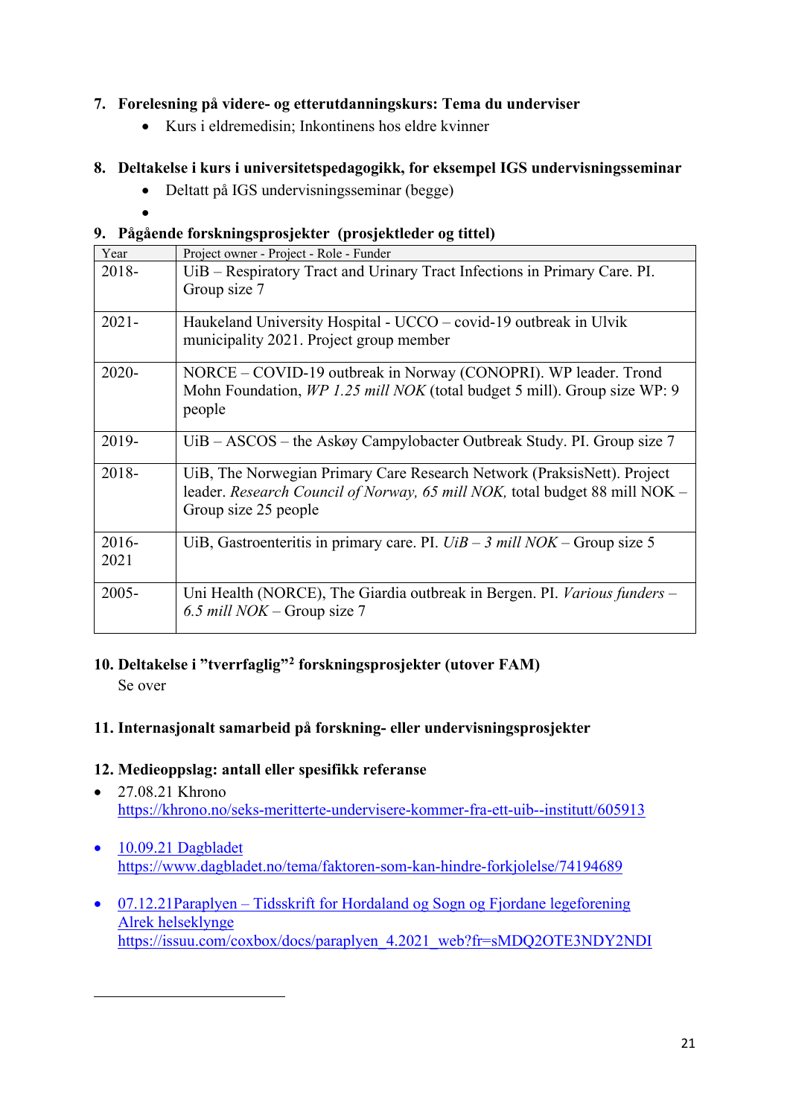### **7. Forelesning på videre- og etterutdanningskurs: Tema du underviser**

• Kurs i eldremedisin; Inkontinens hos eldre kvinner

### **8. Deltakelse i kurs i universitetspedagogikk, for eksempel IGS undervisningsseminar**

- Deltatt på IGS undervisningsseminar (begge)
- •

### **9. Pågående forskningsprosjekter (prosjektleder og tittel)**

| Year             | Project owner - Project - Role - Funder                                                                                                                                        |
|------------------|--------------------------------------------------------------------------------------------------------------------------------------------------------------------------------|
| 2018-            | UiB - Respiratory Tract and Urinary Tract Infections in Primary Care. PI.<br>Group size 7                                                                                      |
| $2021 -$         | Haukeland University Hospital - UCCO – covid-19 outbreak in Ulvik<br>municipality 2021. Project group member                                                                   |
| 2020-            | NORCE – COVID-19 outbreak in Norway (CONOPRI). WP leader. Trond<br>Mohn Foundation, WP 1.25 mill NOK (total budget 5 mill). Group size WP: 9<br>people                         |
| 2019-            | $UiB - ASCOS -$ the Askøy Campylobacter Outbreak Study. PI. Group size 7                                                                                                       |
| 2018-            | UiB, The Norwegian Primary Care Research Network (PraksisNett). Project<br>leader. Research Council of Norway, 65 mill NOK, total budget 88 mill NOK -<br>Group size 25 people |
| $2016 -$<br>2021 | UiB, Gastroenteritis in primary care. PI. $UiB - 3$ mill NOK – Group size 5                                                                                                    |
| $2005 -$         | Uni Health (NORCE), The Giardia outbreak in Bergen. PI. Various funders -<br>6.5 mill $NOK$ – Group size 7                                                                     |

## **10. Deltakelse i "tverrfaglig"[2](#page-20-0) forskningsprosjekter (utover FAM)**

Se over

### **11. Internasjonalt samarbeid på forskning- eller undervisningsprosjekter**

### **12. Medieoppslag: antall eller spesifikk referanse**

- 27.08.21 Khrono <https://khrono.no/seks-meritterte-undervisere-kommer-fra-ett-uib--institutt/605913>
- 10.09.21 Dagbladet <https://www.dagbladet.no/tema/faktoren-som-kan-hindre-forkjolelse/74194689>
- <span id="page-20-0"></span>• 07.12.21Paraplyen – Tidsskrift for Hordaland og Sogn og Fjordane legeforening Alrek helseklynge [https://issuu.com/coxbox/docs/paraplyen\\_4.2021\\_web?fr=sMDQ2OTE3NDY2NDI](https://issuu.com/coxbox/docs/paraplyen_4.2021_web?fr=sMDQ2OTE3NDY2NDI)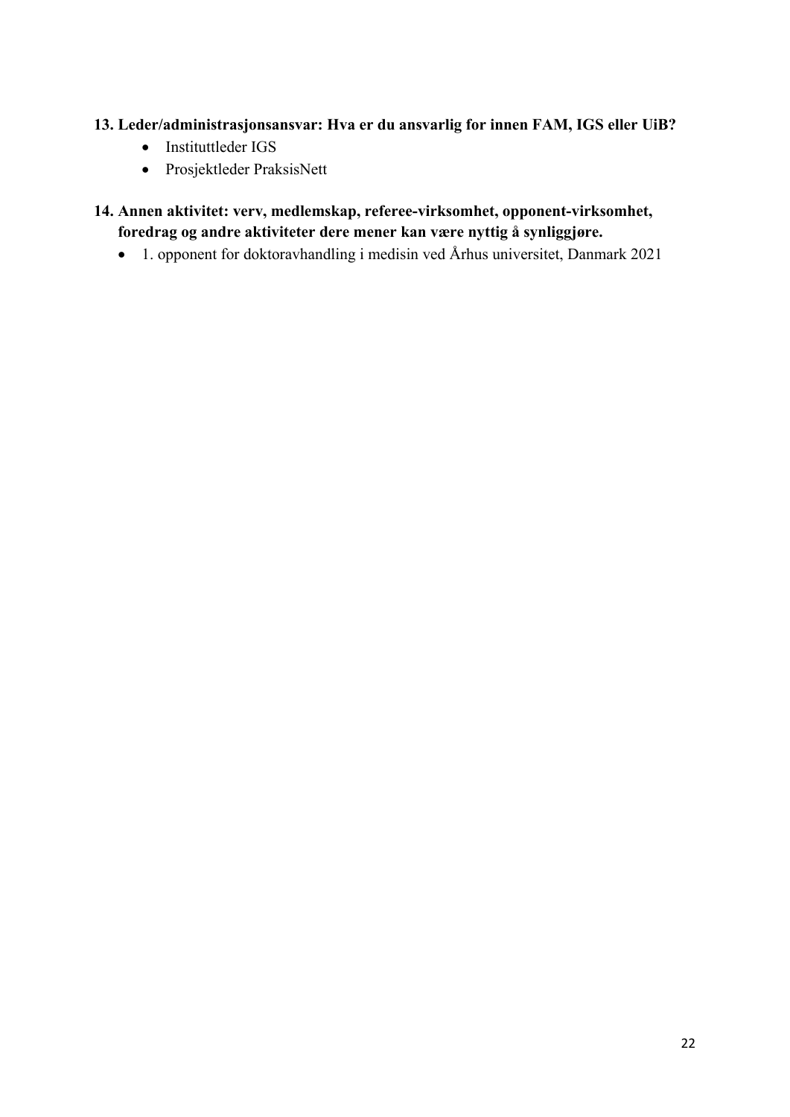### **13. Leder/administrasjonsansvar: Hva er du ansvarlig for innen FAM, IGS eller UiB?**

- Instituttleder IGS
- Prosjektleder PraksisNett
- **14. Annen aktivitet: verv, medlemskap, referee-virksomhet, opponent-virksomhet, foredrag og andre aktiviteter dere mener kan være nyttig å synliggjøre.** 
	- 1. opponent for doktoravhandling i medisin ved Århus universitet, Danmark 2021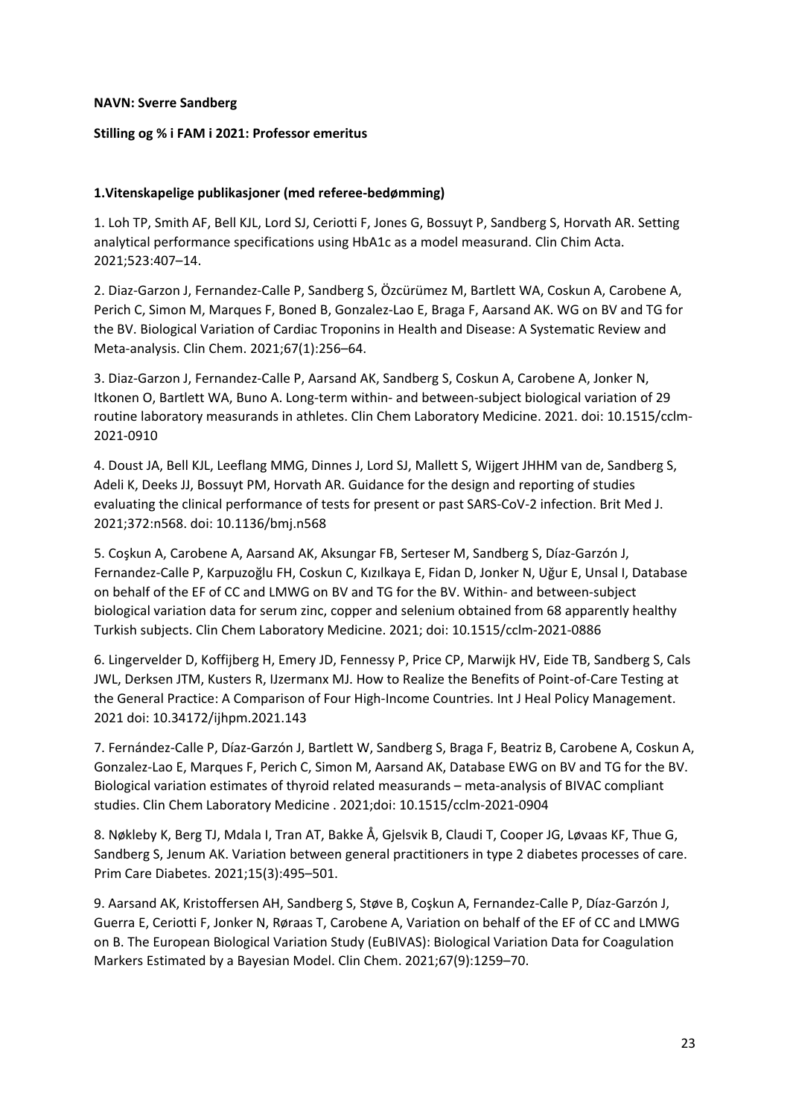### **NAVN: Sverre Sandberg**

### **Stilling og % i FAM i 2021: Professor emeritus**

### **1.Vitenskapelige publikasjoner (med referee-bedømming)**

1. Loh TP, Smith AF, Bell KJL, Lord SJ, Ceriotti F, Jones G, Bossuyt P, Sandberg S, Horvath AR. Setting analytical performance specifications using HbA1c as a model measurand. Clin Chim Acta. 2021;523:407–14.

2. Diaz-Garzon J, Fernandez-Calle P, Sandberg S, Özcürümez M, Bartlett WA, Coskun A, Carobene A, Perich C, Simon M, Marques F, Boned B, Gonzalez-Lao E, Braga F, Aarsand AK. WG on BV and TG for the BV. Biological Variation of Cardiac Troponins in Health and Disease: A Systematic Review and Meta-analysis. Clin Chem. 2021;67(1):256–64.

3. Diaz-Garzon J, Fernandez-Calle P, Aarsand AK, Sandberg S, Coskun A, Carobene A, Jonker N, Itkonen O, Bartlett WA, Buno A. Long-term within- and between-subject biological variation of 29 routine laboratory measurands in athletes. Clin Chem Laboratory Medicine. 2021. doi: 10.1515/cclm-2021-0910

4. Doust JA, Bell KJL, Leeflang MMG, Dinnes J, Lord SJ, Mallett S, Wijgert JHHM van de, Sandberg S, Adeli K, Deeks JJ, Bossuyt PM, Horvath AR. Guidance for the design and reporting of studies evaluating the clinical performance of tests for present or past SARS-CoV-2 infection. Brit Med J. 2021;372:n568. doi: 10.1136/bmj.n568

5. Coşkun A, Carobene A, Aarsand AK, Aksungar FB, Serteser M, Sandberg S, Díaz-Garzón J, Fernandez-Calle P, Karpuzoğlu FH, Coskun C, Kızılkaya E, Fidan D, Jonker N, Uğur E, Unsal I, Database on behalf of the EF of CC and LMWG on BV and TG for the BV. Within- and between-subject biological variation data for serum zinc, copper and selenium obtained from 68 apparently healthy Turkish subjects. Clin Chem Laboratory Medicine. 2021; doi: 10.1515/cclm-2021-0886

6. Lingervelder D, Koffijberg H, Emery JD, Fennessy P, Price CP, Marwijk HV, Eide TB, Sandberg S, Cals JWL, Derksen JTM, Kusters R, IJzermanx MJ. How to Realize the Benefits of Point-of-Care Testing at the General Practice: A Comparison of Four High-Income Countries. Int J Heal Policy Management. 2021 doi: 10.34172/ijhpm.2021.143

7. Fernández-Calle P, Díaz-Garzón J, Bartlett W, Sandberg S, Braga F, Beatriz B, Carobene A, Coskun A, Gonzalez-Lao E, Marques F, Perich C, Simon M, Aarsand AK, Database EWG on BV and TG for the BV. Biological variation estimates of thyroid related measurands – meta-analysis of BIVAC compliant studies. Clin Chem Laboratory Medicine . 2021;doi: 10.1515/cclm-2021-0904

8. Nøkleby K, Berg TJ, Mdala I, Tran AT, Bakke Å, Gjelsvik B, Claudi T, Cooper JG, Løvaas KF, Thue G, Sandberg S, Jenum AK. Variation between general practitioners in type 2 diabetes processes of care. Prim Care Diabetes. 2021;15(3):495–501.

9. Aarsand AK, Kristoffersen AH, Sandberg S, Støve B, Coşkun A, Fernandez-Calle P, Díaz-Garzón J, Guerra E, Ceriotti F, Jonker N, Røraas T, Carobene A, Variation on behalf of the EF of CC and LMWG on B. The European Biological Variation Study (EuBIVAS): Biological Variation Data for Coagulation Markers Estimated by a Bayesian Model. Clin Chem. 2021;67(9):1259–70.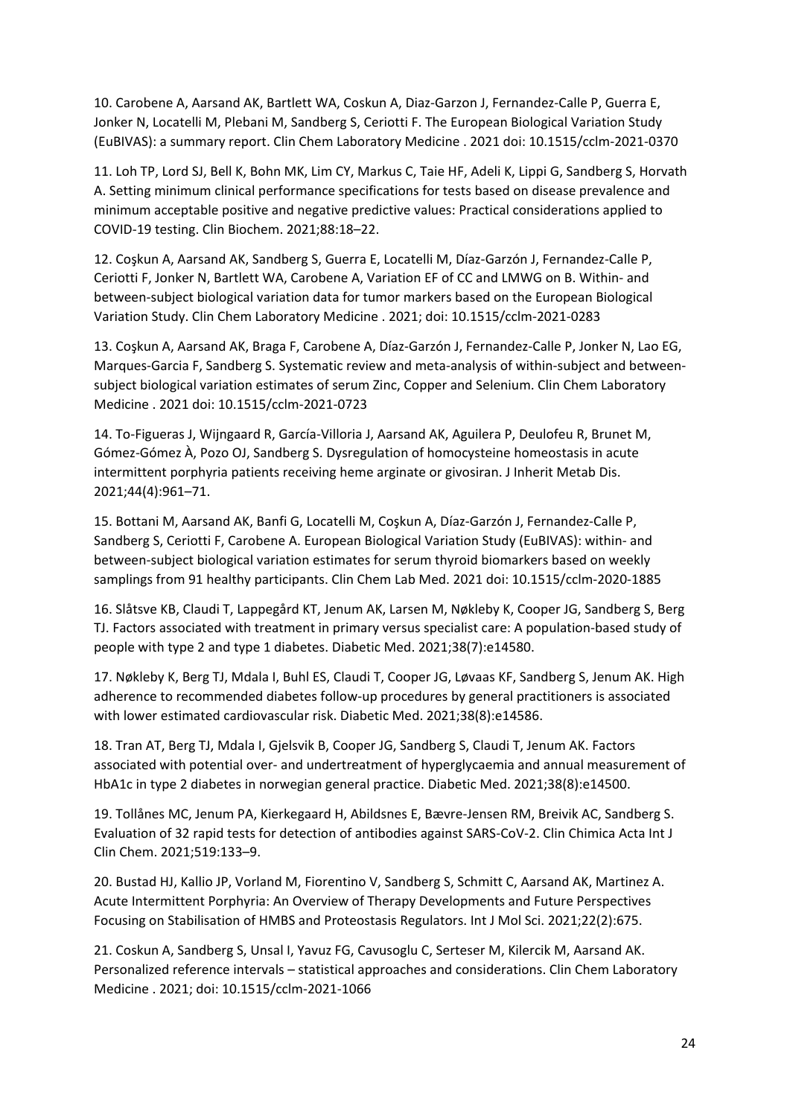10. Carobene A, Aarsand AK, Bartlett WA, Coskun A, Diaz-Garzon J, Fernandez-Calle P, Guerra E, Jonker N, Locatelli M, Plebani M, Sandberg S, Ceriotti F. The European Biological Variation Study (EuBIVAS): a summary report. Clin Chem Laboratory Medicine . 2021 doi: 10.1515/cclm-2021-0370

11. Loh TP, Lord SJ, Bell K, Bohn MK, Lim CY, Markus C, Taie HF, Adeli K, Lippi G, Sandberg S, Horvath A. Setting minimum clinical performance specifications for tests based on disease prevalence and minimum acceptable positive and negative predictive values: Practical considerations applied to COVID-19 testing. Clin Biochem. 2021;88:18–22.

12. Coşkun A, Aarsand AK, Sandberg S, Guerra E, Locatelli M, Díaz-Garzón J, Fernandez-Calle P, Ceriotti F, Jonker N, Bartlett WA, Carobene A, Variation EF of CC and LMWG on B. Within- and between-subject biological variation data for tumor markers based on the European Biological Variation Study. Clin Chem Laboratory Medicine . 2021; doi: 10.1515/cclm-2021-0283

13. Coşkun A, Aarsand AK, Braga F, Carobene A, Díaz-Garzón J, Fernandez-Calle P, Jonker N, Lao EG, Marques-Garcia F, Sandberg S. Systematic review and meta-analysis of within-subject and betweensubject biological variation estimates of serum Zinc, Copper and Selenium. Clin Chem Laboratory Medicine . 2021 doi: 10.1515/cclm-2021-0723

14. To-Figueras J, Wijngaard R, García-Villoria J, Aarsand AK, Aguilera P, Deulofeu R, Brunet M, Gómez-Gómez À, Pozo OJ, Sandberg S. Dysregulation of homocysteine homeostasis in acute intermittent porphyria patients receiving heme arginate or givosiran. J Inherit Metab Dis. 2021;44(4):961–71.

15. Bottani M, Aarsand AK, Banfi G, Locatelli M, Coşkun A, Díaz-Garzón J, Fernandez-Calle P, Sandberg S, Ceriotti F, Carobene A. European Biological Variation Study (EuBIVAS): within- and between-subject biological variation estimates for serum thyroid biomarkers based on weekly samplings from 91 healthy participants. Clin Chem Lab Med. 2021 doi: 10.1515/cclm-2020-1885

16. Slåtsve KB, Claudi T, Lappegård KT, Jenum AK, Larsen M, Nøkleby K, Cooper JG, Sandberg S, Berg TJ. Factors associated with treatment in primary versus specialist care: A population-based study of people with type 2 and type 1 diabetes. Diabetic Med. 2021;38(7):e14580.

17. Nøkleby K, Berg TJ, Mdala I, Buhl ES, Claudi T, Cooper JG, Løvaas KF, Sandberg S, Jenum AK. High adherence to recommended diabetes follow-up procedures by general practitioners is associated with lower estimated cardiovascular risk. Diabetic Med. 2021;38(8):e14586.

18. Tran AT, Berg TJ, Mdala I, Gjelsvik B, Cooper JG, Sandberg S, Claudi T, Jenum AK. Factors associated with potential over- and undertreatment of hyperglycaemia and annual measurement of HbA1c in type 2 diabetes in norwegian general practice. Diabetic Med. 2021;38(8):e14500.

19. Tollånes MC, Jenum PA, Kierkegaard H, Abildsnes E, Bævre-Jensen RM, Breivik AC, Sandberg S. Evaluation of 32 rapid tests for detection of antibodies against SARS-CoV-2. Clin Chimica Acta Int J Clin Chem. 2021;519:133–9.

20. Bustad HJ, Kallio JP, Vorland M, Fiorentino V, Sandberg S, Schmitt C, Aarsand AK, Martinez A. Acute Intermittent Porphyria: An Overview of Therapy Developments and Future Perspectives Focusing on Stabilisation of HMBS and Proteostasis Regulators. Int J Mol Sci. 2021;22(2):675.

21. Coskun A, Sandberg S, Unsal I, Yavuz FG, Cavusoglu C, Serteser M, Kilercik M, Aarsand AK. Personalized reference intervals – statistical approaches and considerations. Clin Chem Laboratory Medicine . 2021; doi: 10.1515/cclm-2021-1066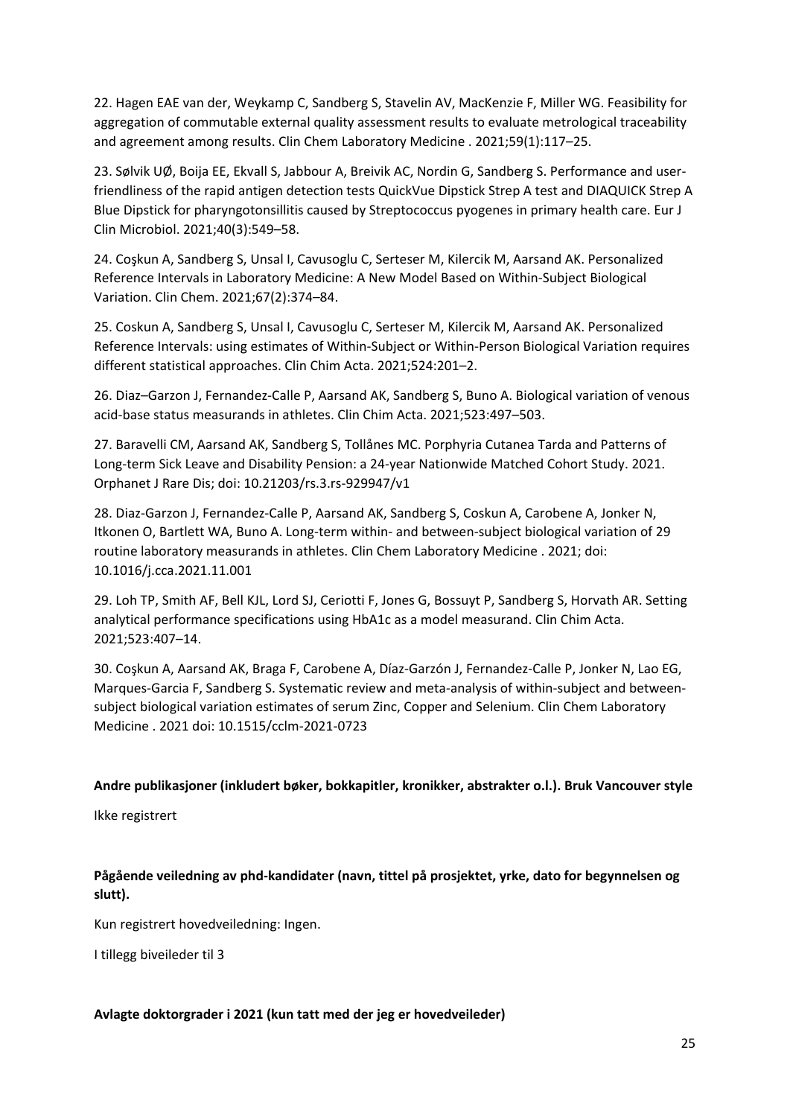22. Hagen EAE van der, Weykamp C, Sandberg S, Stavelin AV, MacKenzie F, Miller WG. Feasibility for aggregation of commutable external quality assessment results to evaluate metrological traceability and agreement among results. Clin Chem Laboratory Medicine . 2021;59(1):117–25.

23. Sølvik UØ, Boija EE, Ekvall S, Jabbour A, Breivik AC, Nordin G, Sandberg S. Performance and userfriendliness of the rapid antigen detection tests QuickVue Dipstick Strep A test and DIAQUICK Strep A Blue Dipstick for pharyngotonsillitis caused by Streptococcus pyogenes in primary health care. Eur J Clin Microbiol. 2021;40(3):549–58.

24. Coşkun A, Sandberg S, Unsal I, Cavusoglu C, Serteser M, Kilercik M, Aarsand AK. Personalized Reference Intervals in Laboratory Medicine: A New Model Based on Within-Subject Biological Variation. Clin Chem. 2021;67(2):374–84.

25. Coskun A, Sandberg S, Unsal I, Cavusoglu C, Serteser M, Kilercik M, Aarsand AK. Personalized Reference Intervals: using estimates of Within-Subject or Within-Person Biological Variation requires different statistical approaches. Clin Chim Acta. 2021;524:201–2.

26. Diaz–Garzon J, Fernandez-Calle P, Aarsand AK, Sandberg S, Buno A. Biological variation of venous acid-base status measurands in athletes. Clin Chim Acta. 2021;523:497–503.

27. Baravelli CM, Aarsand AK, Sandberg S, Tollånes MC. Porphyria Cutanea Tarda and Patterns of Long-term Sick Leave and Disability Pension: a 24-year Nationwide Matched Cohort Study. 2021. Orphanet J Rare Dis; doi: 10.21203/rs.3.rs-929947/v1

28. Diaz-Garzon J, Fernandez-Calle P, Aarsand AK, Sandberg S, Coskun A, Carobene A, Jonker N, Itkonen O, Bartlett WA, Buno A. Long-term within- and between-subject biological variation of 29 routine laboratory measurands in athletes. Clin Chem Laboratory Medicine . 2021; doi: 10.1016/j.cca.2021.11.001

29. Loh TP, Smith AF, Bell KJL, Lord SJ, Ceriotti F, Jones G, Bossuyt P, Sandberg S, Horvath AR. Setting analytical performance specifications using HbA1c as a model measurand. Clin Chim Acta. 2021;523:407–14.

30. Coşkun A, Aarsand AK, Braga F, Carobene A, Díaz-Garzón J, Fernandez-Calle P, Jonker N, Lao EG, Marques-Garcia F, Sandberg S. Systematic review and meta-analysis of within-subject and betweensubject biological variation estimates of serum Zinc, Copper and Selenium. Clin Chem Laboratory Medicine . 2021 doi: 10.1515/cclm-2021-0723

### **Andre publikasjoner (inkludert bøker, bokkapitler, kronikker, abstrakter o.l.). Bruk Vancouver style**

Ikke registrert

### **Pågående veiledning av phd-kandidater (navn, tittel på prosjektet, yrke, dato for begynnelsen og slutt).**

Kun registrert hovedveiledning: Ingen.

I tillegg biveileder til 3

### **Avlagte doktorgrader i 2021 (kun tatt med der jeg er hovedveileder)**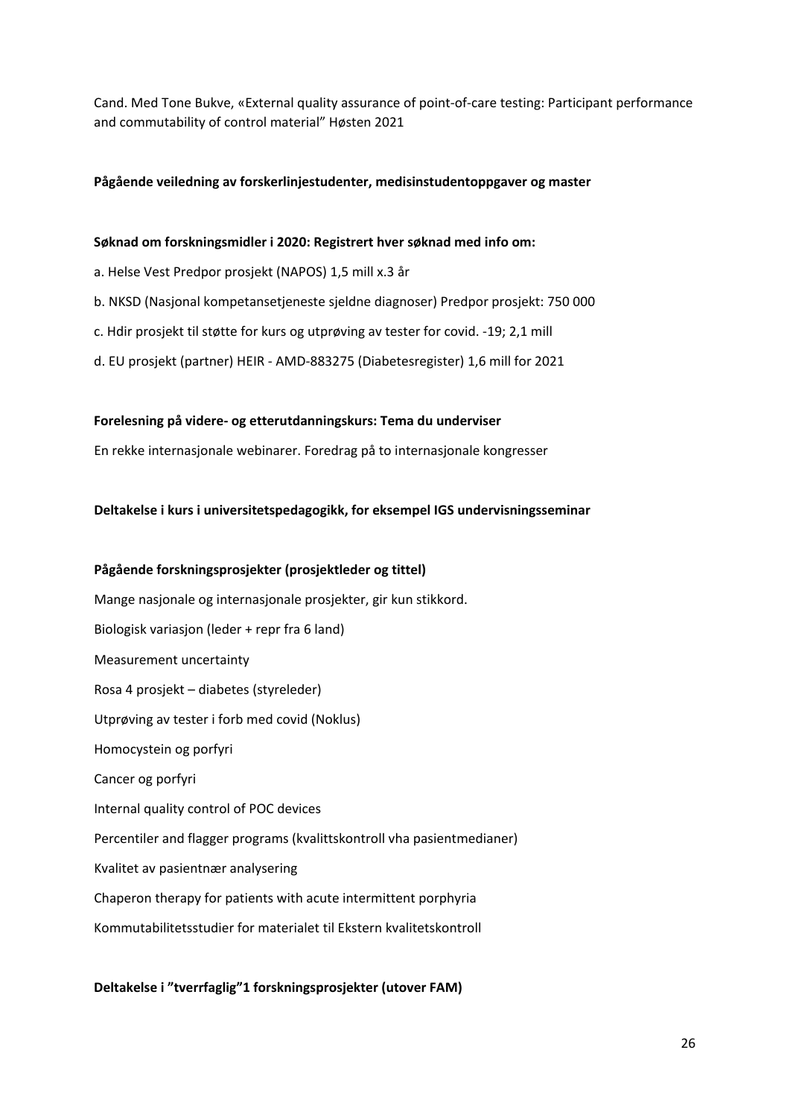Cand. Med Tone Bukve, «External quality assurance of point-of-care testing: Participant performance and commutability of control material" Høsten 2021

### **Pågående veiledning av forskerlinjestudenter, medisinstudentoppgaver og master**

#### **Søknad om forskningsmidler i 2020: Registrert hver søknad med info om:**

- a. Helse Vest Predpor prosjekt (NAPOS) 1,5 mill x.3 år
- b. NKSD (Nasjonal kompetansetjeneste sjeldne diagnoser) Predpor prosjekt: 750 000
- c. Hdir prosjekt til støtte for kurs og utprøving av tester for covid. -19; 2,1 mill
- d. EU prosjekt (partner) HEIR AMD-883275 (Diabetesregister) 1,6 mill for 2021

#### **Forelesning på videre- og etterutdanningskurs: Tema du underviser**

En rekke internasjonale webinarer. Foredrag på to internasjonale kongresser

#### **Deltakelse i kurs i universitetspedagogikk, for eksempel IGS undervisningsseminar**

# **Pågående forskningsprosjekter (prosjektleder og tittel)** Mange nasjonale og internasjonale prosjekter, gir kun stikkord. Biologisk variasjon (leder + repr fra 6 land) Measurement uncertainty Rosa 4 prosjekt – diabetes (styreleder) Utprøving av tester i forb med covid (Noklus) Homocystein og porfyri Cancer og porfyri Internal quality control of POC devices Percentiler and flagger programs (kvalittskontroll vha pasientmedianer) Kvalitet av pasientnær analysering Chaperon therapy for patients with acute intermittent porphyria Kommutabilitetsstudier for materialet til Ekstern kvalitetskontroll

### **Deltakelse i "tverrfaglig"1 forskningsprosjekter (utover FAM)**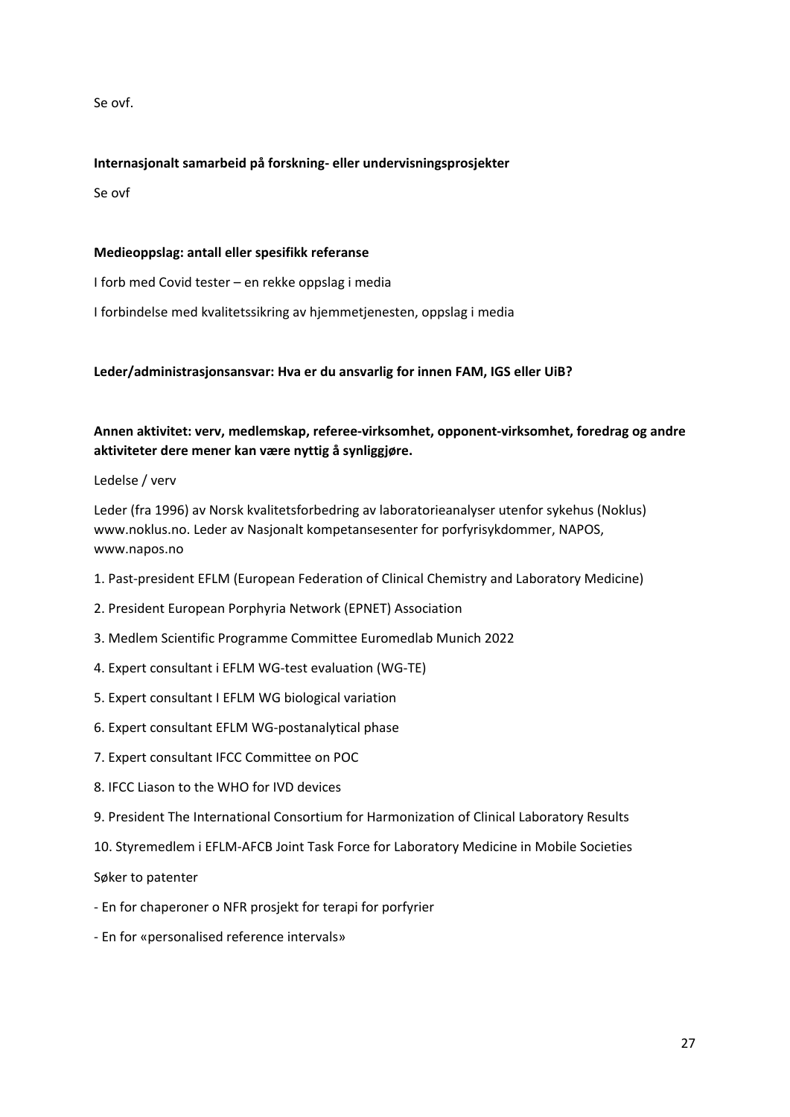Se ovf.

### **Internasjonalt samarbeid på forskning- eller undervisningsprosjekter**

Se ovf

### **Medieoppslag: antall eller spesifikk referanse**

I forb med Covid tester – en rekke oppslag i media

I forbindelse med kvalitetssikring av hjemmetjenesten, oppslag i media

### **Leder/administrasjonsansvar: Hva er du ansvarlig for innen FAM, IGS eller UiB?**

### **Annen aktivitet: verv, medlemskap, referee-virksomhet, opponent-virksomhet, foredrag og andre aktiviteter dere mener kan være nyttig å synliggjøre.**

Ledelse / verv

Leder (fra 1996) av Norsk kvalitetsforbedring av laboratorieanalyser utenfor sykehus (Noklus) www.noklus.no. Leder av Nasjonalt kompetansesenter for porfyrisykdommer, NAPOS, www.napos.no

- 1. Past-president EFLM (European Federation of Clinical Chemistry and Laboratory Medicine)
- 2. President European Porphyria Network (EPNET) Association
- 3. Medlem Scientific Programme Committee Euromedlab Munich 2022
- 4. Expert consultant i EFLM WG-test evaluation (WG-TE)
- 5. Expert consultant I EFLM WG biological variation
- 6. Expert consultant EFLM WG-postanalytical phase
- 7. Expert consultant IFCC Committee on POC
- 8. IFCC Liason to the WHO for IVD devices
- 9. President The International Consortium for Harmonization of Clinical Laboratory Results
- 10. Styremedlem i EFLM-AFCB Joint Task Force for Laboratory Medicine in Mobile Societies

Søker to patenter

- En for chaperoner o NFR prosjekt for terapi for porfyrier
- En for «personalised reference intervals»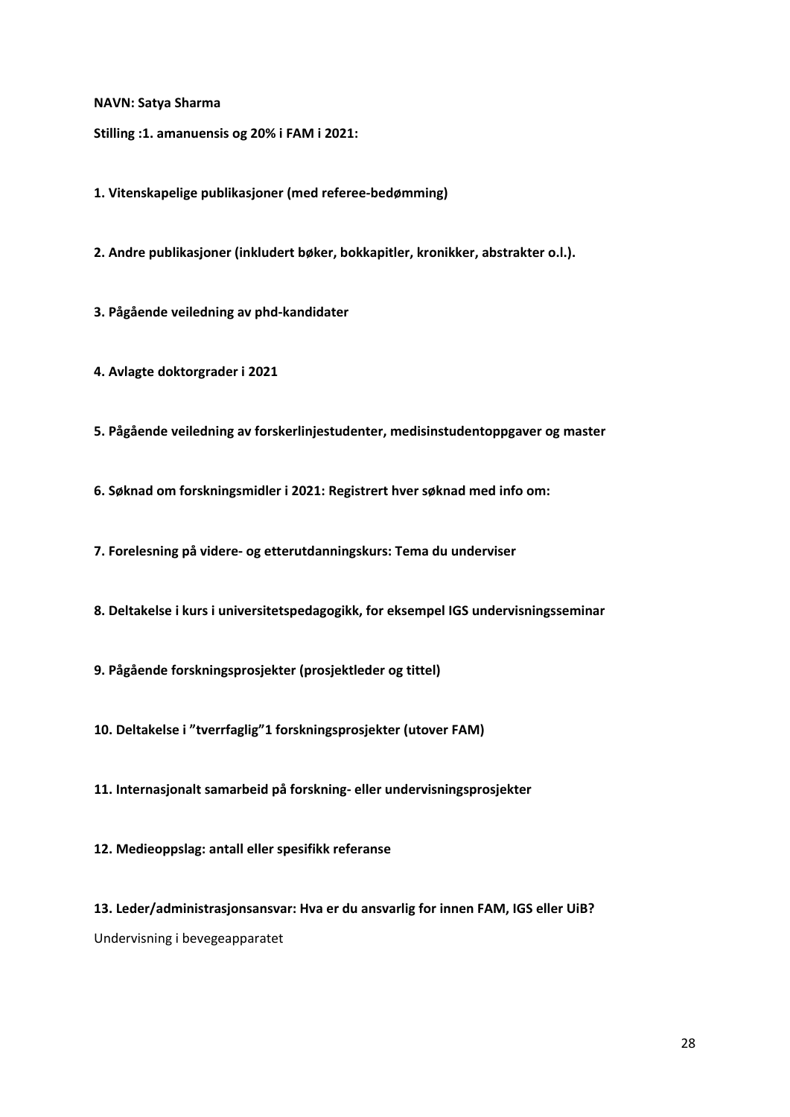**NAVN: Satya Sharma**

**Stilling :1. amanuensis og 20% i FAM i 2021:**

**1. Vitenskapelige publikasjoner (med referee-bedømming)**

**2. Andre publikasjoner (inkludert bøker, bokkapitler, kronikker, abstrakter o.l.).**

**3. Pågående veiledning av phd-kandidater**

**4. Avlagte doktorgrader i 2021**

**5. Pågående veiledning av forskerlinjestudenter, medisinstudentoppgaver og master**

**6. Søknad om forskningsmidler i 2021: Registrert hver søknad med info om:**

**7. Forelesning på videre- og etterutdanningskurs: Tema du underviser**

**8. Deltakelse i kurs i universitetspedagogikk, for eksempel IGS undervisningsseminar**

**9. Pågående forskningsprosjekter (prosjektleder og tittel)**

**10. Deltakelse i "tverrfaglig"1 forskningsprosjekter (utover FAM)**

**11. Internasjonalt samarbeid på forskning- eller undervisningsprosjekter**

**12. Medieoppslag: antall eller spesifikk referanse**

**13. Leder/administrasjonsansvar: Hva er du ansvarlig for innen FAM, IGS eller UiB?**  Undervisning i bevegeapparatet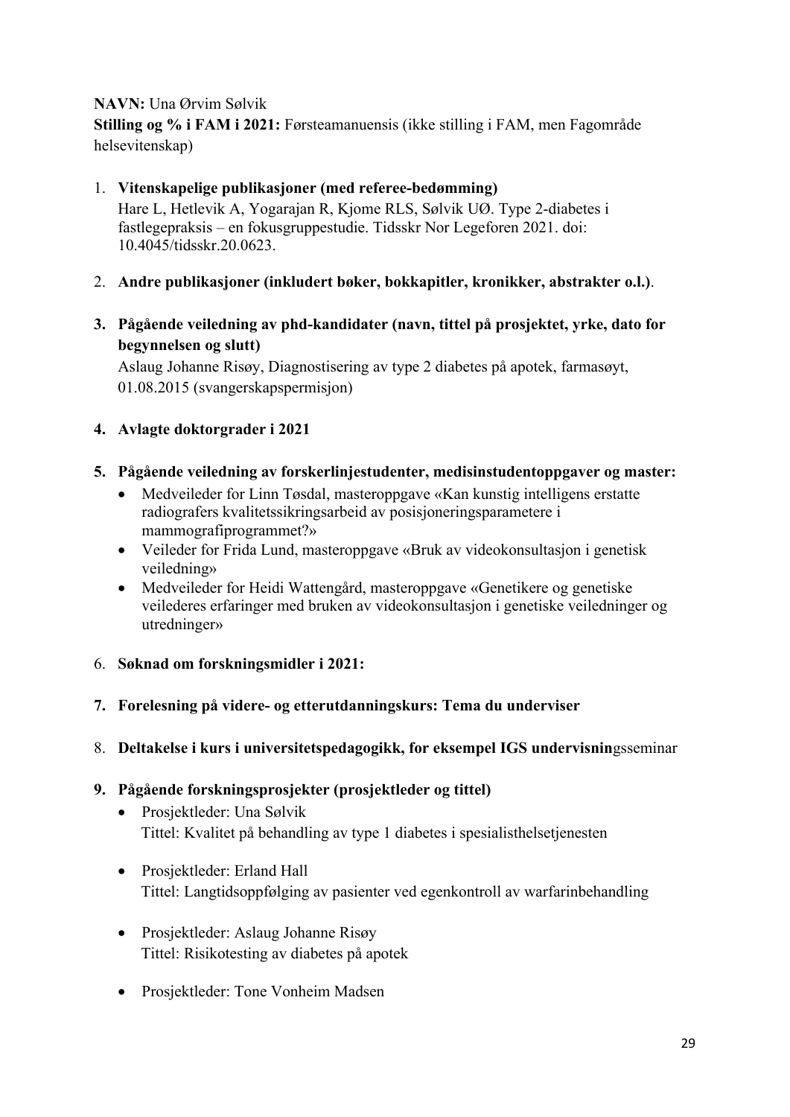### **NAVN:** Una Ørvim Sølvik

**Stilling og % i FAM i 2021:** Førsteamanuensis (ikke stilling i FAM, men Fagområde helsevitenskap)

### 1. **Vitenskapelige publikasjoner (med referee-bedømming)** Hare L, Hetlevik A, Yogarajan R, Kjome RLS, Sølvik UØ. Type 2-diabetes i fastlegepraksis – en fokusgruppestudie. Tidsskr Nor Legeforen 2021. doi: 10.4045/tidsskr.20.0623.

- 2. **Andre publikasjoner (inkludert bøker, bokkapitler, kronikker, abstrakter o.l.)**.
- **3. Pågående veiledning av phd-kandidater (navn, tittel på prosjektet, yrke, dato for begynnelsen og slutt)**

Aslaug Johanne Risøy, Diagnostisering av type 2 diabetes på apotek, farmasøyt, 01.08.2015 (svangerskapspermisjon)

### **4. Avlagte doktorgrader i 2021**

- **5. Pågående veiledning av forskerlinjestudenter, medisinstudentoppgaver og master:**
	- Medveileder for Linn Tøsdal, masteroppgave «Kan kunstig intelligens erstatte radiografers kvalitetssikringsarbeid av posisjoneringsparametere i mammografiprogrammet?»
	- Veileder for Frida Lund, masteroppgave «Bruk av videokonsultasjon i genetisk veiledning»
	- Medveileder for Heidi Wattengård, masteroppgave «Genetikere og genetiske veilederes erfaringer med bruken av videokonsultasjon i genetiske veiledninger og utredninger»
- 6. **Søknad om forskningsmidler i 2021:**

### **7. Forelesning på videre- og etterutdanningskurs: Tema du underviser**

8. **Deltakelse i kurs i universitetspedagogikk, for eksempel IGS undervisnin**gsseminar

### **9. Pågående forskningsprosjekter (prosjektleder og tittel)**

- Prosjektleder: Una Sølvik Tittel: Kvalitet på behandling av type 1 diabetes i spesialisthelsetjenesten
- Prosjektleder: Erland Hall Tittel: Langtidsoppfølging av pasienter ved egenkontroll av warfarinbehandling
- Prosjektleder: Aslaug Johanne Risøy Tittel: Risikotesting av diabetes på apotek
- Prosjektleder: Tone Vonheim Madsen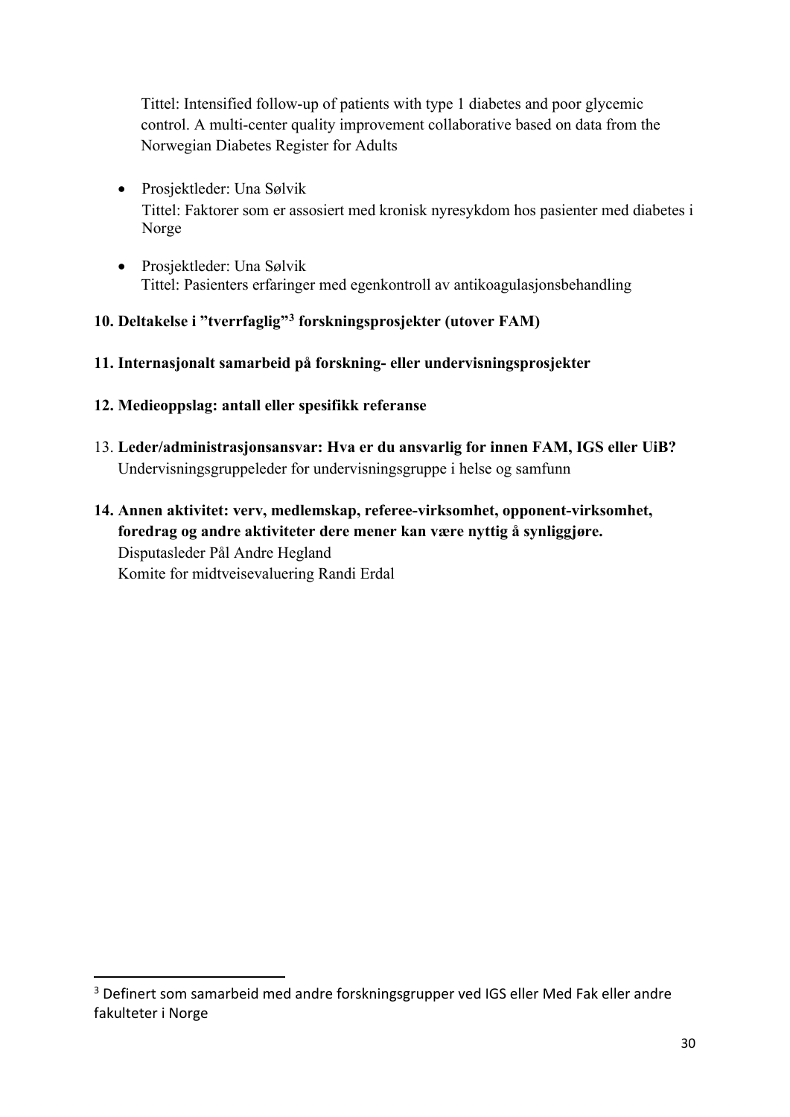Tittel: Intensified follow-up of patients with type 1 diabetes and poor glycemic control. A multi-center quality improvement collaborative based on data from the Norwegian Diabetes Register for Adults

- Prosjektleder: Una Sølvik Tittel: Faktorer som er assosiert med kronisk nyresykdom hos pasienter med diabetes i Norge
- Prosjektleder: Una Sølvik Tittel: Pasienters erfaringer med egenkontroll av antikoagulasjonsbehandling

### **10. Deltakelse i "tverrfaglig"[3](#page-29-0) forskningsprosjekter (utover FAM)**

### **11. Internasjonalt samarbeid på forskning- eller undervisningsprosjekter**

- **12. Medieoppslag: antall eller spesifikk referanse**
- 13. **Leder/administrasjonsansvar: Hva er du ansvarlig for innen FAM, IGS eller UiB?** Undervisningsgruppeleder for undervisningsgruppe i helse og samfunn
- **14. Annen aktivitet: verv, medlemskap, referee-virksomhet, opponent-virksomhet, foredrag og andre aktiviteter dere mener kan være nyttig å synliggjøre.**  Disputasleder Pål Andre Hegland Komite for midtveisevaluering Randi Erdal

<span id="page-29-0"></span><sup>3</sup> Definert som samarbeid med andre forskningsgrupper ved IGS eller Med Fak eller andre fakulteter i Norge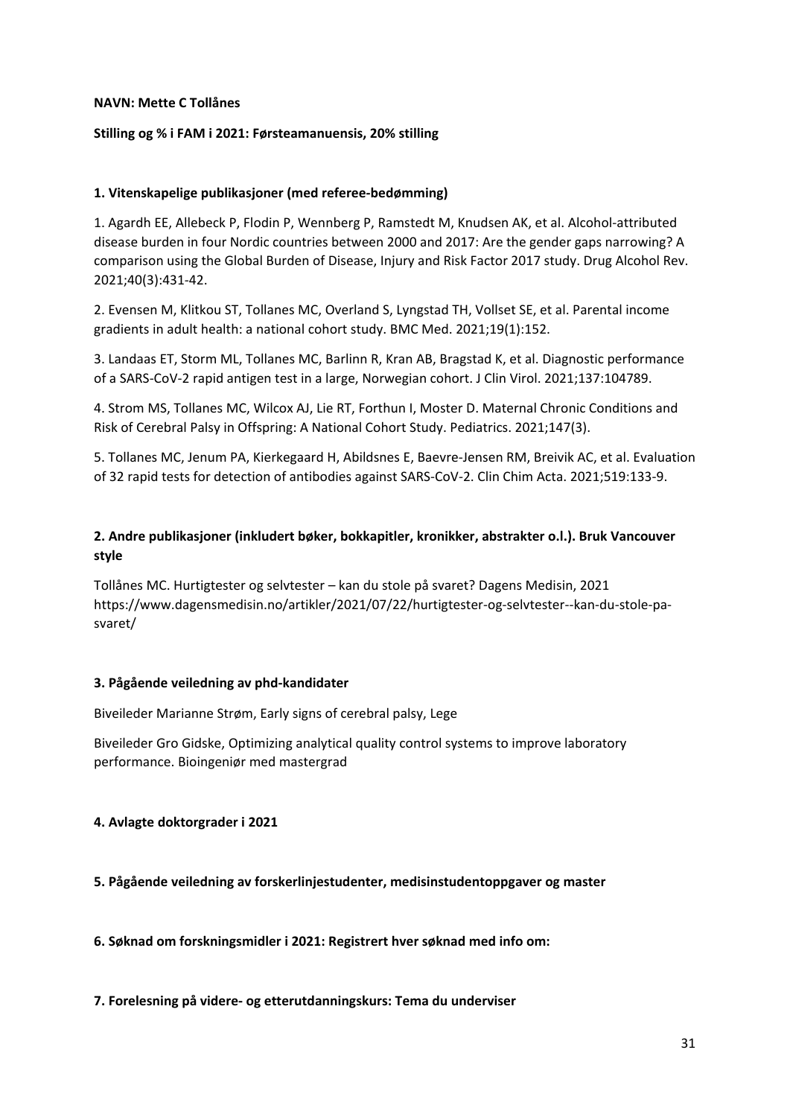### **NAVN: Mette C Tollånes**

### **Stilling og % i FAM i 2021: Førsteamanuensis, 20% stilling**

### **1. Vitenskapelige publikasjoner (med referee-bedømming)**

1. Agardh EE, Allebeck P, Flodin P, Wennberg P, Ramstedt M, Knudsen AK, et al. Alcohol-attributed disease burden in four Nordic countries between 2000 and 2017: Are the gender gaps narrowing? A comparison using the Global Burden of Disease, Injury and Risk Factor 2017 study. Drug Alcohol Rev. 2021;40(3):431-42.

2. Evensen M, Klitkou ST, Tollanes MC, Overland S, Lyngstad TH, Vollset SE, et al. Parental income gradients in adult health: a national cohort study. BMC Med. 2021;19(1):152.

3. Landaas ET, Storm ML, Tollanes MC, Barlinn R, Kran AB, Bragstad K, et al. Diagnostic performance of a SARS-CoV-2 rapid antigen test in a large, Norwegian cohort. J Clin Virol. 2021;137:104789.

4. Strom MS, Tollanes MC, Wilcox AJ, Lie RT, Forthun I, Moster D. Maternal Chronic Conditions and Risk of Cerebral Palsy in Offspring: A National Cohort Study. Pediatrics. 2021;147(3).

5. Tollanes MC, Jenum PA, Kierkegaard H, Abildsnes E, Baevre-Jensen RM, Breivik AC, et al. Evaluation of 32 rapid tests for detection of antibodies against SARS-CoV-2. Clin Chim Acta. 2021;519:133-9.

### **2. Andre publikasjoner (inkludert bøker, bokkapitler, kronikker, abstrakter o.l.). Bruk Vancouver style**

Tollånes MC. Hurtigtester og selvtester – kan du stole på svaret? Dagens Medisin, 2021 https://www.dagensmedisin.no/artikler/2021/07/22/hurtigtester-og-selvtester--kan-du-stole-pasvaret/

### **3. Pågående veiledning av phd-kandidater**

Biveileder Marianne Strøm, Early signs of cerebral palsy, Lege

Biveileder Gro Gidske, Optimizing analytical quality control systems to improve laboratory performance. Bioingeniør med mastergrad

### **4. Avlagte doktorgrader i 2021**

**5. Pågående veiledning av forskerlinjestudenter, medisinstudentoppgaver og master**

**6. Søknad om forskningsmidler i 2021: Registrert hver søknad med info om:**

### **7. Forelesning på videre- og etterutdanningskurs: Tema du underviser**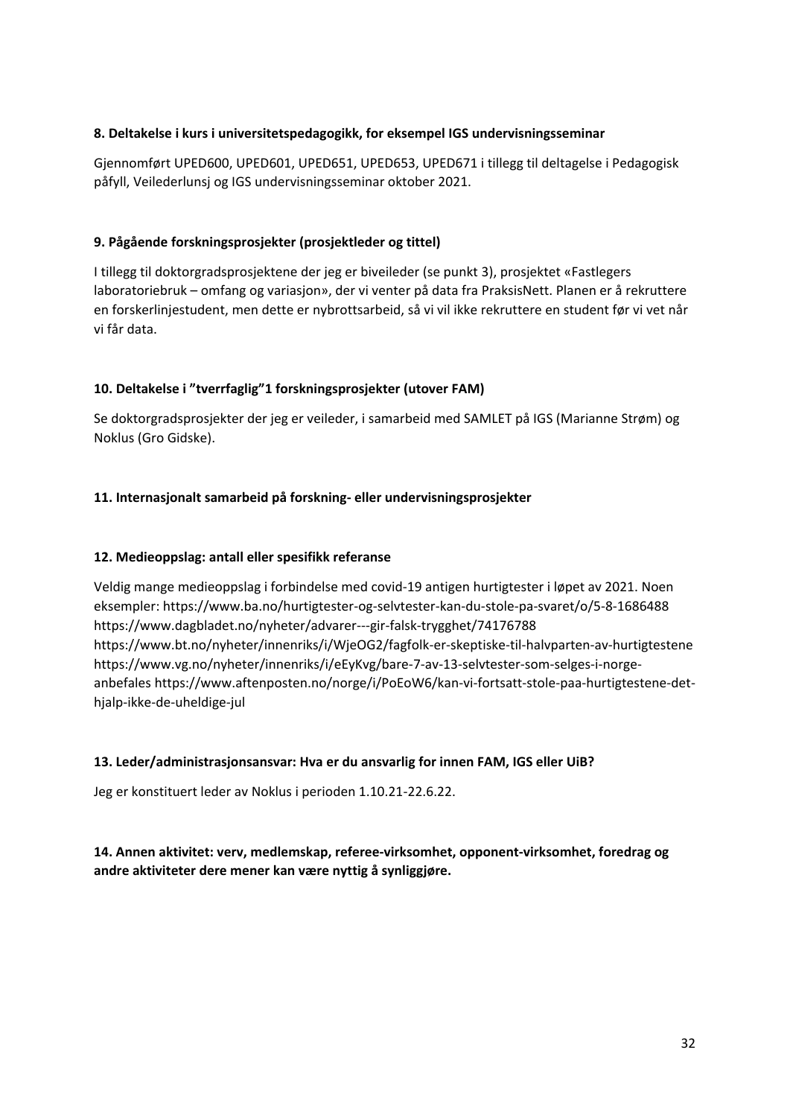### **8. Deltakelse i kurs i universitetspedagogikk, for eksempel IGS undervisningsseminar**

Gjennomført UPED600, UPED601, UPED651, UPED653, UPED671 i tillegg til deltagelse i Pedagogisk påfyll, Veilederlunsj og IGS undervisningsseminar oktober 2021.

### **9. Pågående forskningsprosjekter (prosjektleder og tittel)**

I tillegg til doktorgradsprosjektene der jeg er biveileder (se punkt 3), prosjektet «Fastlegers laboratoriebruk – omfang og variasjon», der vi venter på data fra PraksisNett. Planen er å rekruttere en forskerlinjestudent, men dette er nybrottsarbeid, så vi vil ikke rekruttere en student før vi vet når vi får data.

### **10. Deltakelse i "tverrfaglig"1 forskningsprosjekter (utover FAM)**

Se doktorgradsprosjekter der jeg er veileder, i samarbeid med SAMLET på IGS (Marianne Strøm) og Noklus (Gro Gidske).

### **11. Internasjonalt samarbeid på forskning- eller undervisningsprosjekter**

### **12. Medieoppslag: antall eller spesifikk referanse**

Veldig mange medieoppslag i forbindelse med covid-19 antigen hurtigtester i løpet av 2021. Noen eksempler: https://www.ba.no/hurtigtester-og-selvtester-kan-du-stole-pa-svaret/o/5-8-1686488 https://www.dagbladet.no/nyheter/advarer---gir-falsk-trygghet/74176788 https://www.bt.no/nyheter/innenriks/i/WjeOG2/fagfolk-er-skeptiske-til-halvparten-av-hurtigtestene https://www.vg.no/nyheter/innenriks/i/eEyKvg/bare-7-av-13-selvtester-som-selges-i-norgeanbefales https://www.aftenposten.no/norge/i/PoEoW6/kan-vi-fortsatt-stole-paa-hurtigtestene-dethjalp-ikke-de-uheldige-jul

### **13. Leder/administrasjonsansvar: Hva er du ansvarlig for innen FAM, IGS eller UiB?**

Jeg er konstituert leder av Noklus i perioden 1.10.21-22.6.22.

### **14. Annen aktivitet: verv, medlemskap, referee-virksomhet, opponent-virksomhet, foredrag og andre aktiviteter dere mener kan være nyttig å synliggjøre.**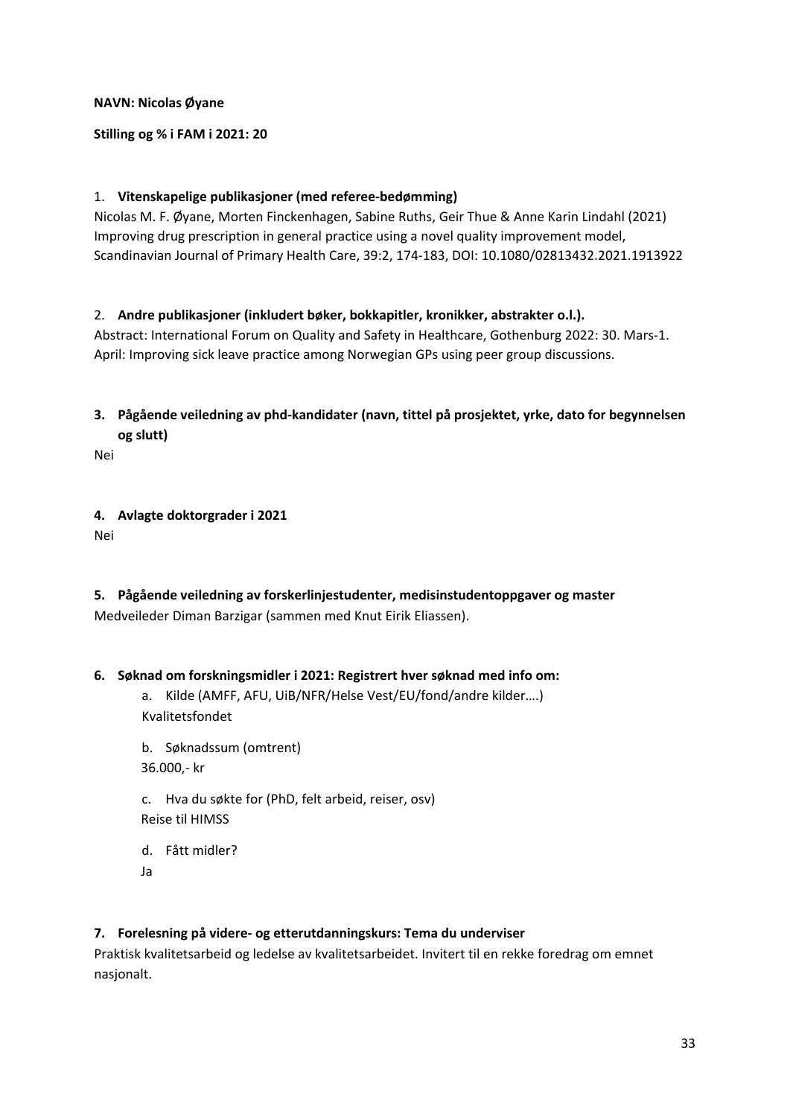### **NAVN: Nicolas Øyane**

### **Stilling og % i FAM i 2021: 20**

### 1. **Vitenskapelige publikasjoner (med referee-bedømming)**

Nicolas M. F. Øyane, Morten Finckenhagen, Sabine Ruths, Geir Thue & Anne Karin Lindahl (2021) Improving drug prescription in general practice using a novel quality improvement model, Scandinavian Journal of Primary Health Care, 39:2, 174-183, DOI: 10.1080/02813432.2021.1913922

### 2. **Andre publikasjoner (inkludert bøker, bokkapitler, kronikker, abstrakter o.l.).**

Abstract: International Forum on Quality and Safety in Healthcare, Gothenburg 2022: 30. Mars-1. April: Improving sick leave practice among Norwegian GPs using peer group discussions.

**3. Pågående veiledning av phd-kandidater (navn, tittel på prosjektet, yrke, dato for begynnelsen og slutt)**

Nei

### **4. Avlagte doktorgrader i 2021**

Nei

**5. Pågående veiledning av forskerlinjestudenter, medisinstudentoppgaver og master** Medveileder Diman Barzigar (sammen med Knut Eirik Eliassen).

### **6. Søknad om forskningsmidler i 2021: Registrert hver søknad med info om:**

a. Kilde (AMFF, AFU, UiB/NFR/Helse Vest/EU/fond/andre kilder….) Kvalitetsfondet

b. Søknadssum (omtrent) 36.000,- kr

c. Hva du søkte for (PhD, felt arbeid, reiser, osv) Reise til HIMSS

d. Fått midler?

Ja

### **7. Forelesning på videre- og etterutdanningskurs: Tema du underviser**

Praktisk kvalitetsarbeid og ledelse av kvalitetsarbeidet. Invitert til en rekke foredrag om emnet nasjonalt.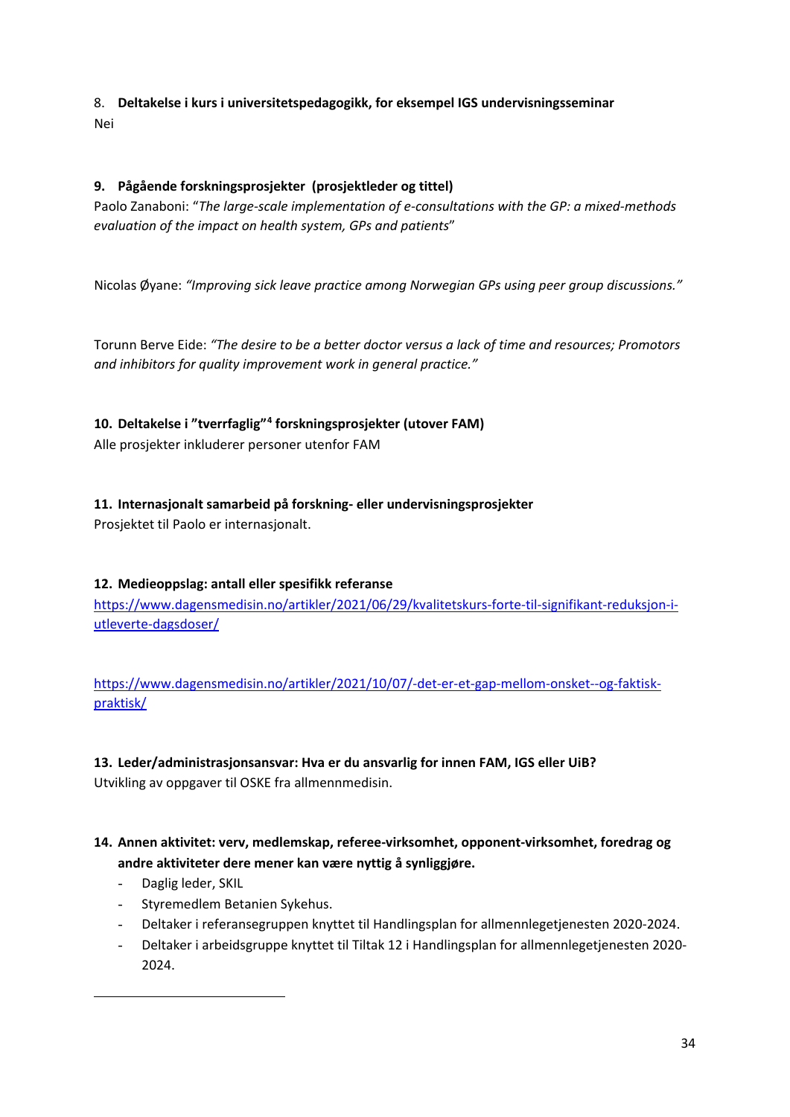## 8. **Deltakelse i kurs i universitetspedagogikk, for eksempel IGS undervisningsseminar**

Nei

### **9. Pågående forskningsprosjekter (prosjektleder og tittel)**

Paolo Zanaboni: "*The large-scale implementation of e-consultations with the GP: a mixed-methods evaluation of the impact on health system, GPs and patients*"

Nicolas Øyane: *"Improving sick leave practice among Norwegian GPs using peer group discussions."*

Torunn Berve Eide: *"The desire to be a better doctor versus a lack of time and resources; Promotors and inhibitors for quality improvement work in general practice."*

### **10. Deltakelse i "tverrfaglig"[4](#page-33-0) forskningsprosjekter (utover FAM)**

Alle prosjekter inkluderer personer utenfor FAM

### **11. Internasjonalt samarbeid på forskning- eller undervisningsprosjekter**

Prosjektet til Paolo er internasjonalt.

### **12. Medieoppslag: antall eller spesifikk referanse**

[https://www.dagensmedisin.no/artikler/2021/06/29/kvalitetskurs-forte-til-signifikant-reduksjon-i](https://www.dagensmedisin.no/artikler/2021/06/29/kvalitetskurs-forte-til-signifikant-reduksjon-i-utleverte-dagsdoser/)[utleverte-dagsdoser/](https://www.dagensmedisin.no/artikler/2021/06/29/kvalitetskurs-forte-til-signifikant-reduksjon-i-utleverte-dagsdoser/)

[https://www.dagensmedisin.no/artikler/2021/10/07/-det-er-et-gap-mellom-onsket--og-faktisk](https://www.dagensmedisin.no/artikler/2021/10/07/-det-er-et-gap-mellom-onsket--og-faktisk-praktisk/)[praktisk/](https://www.dagensmedisin.no/artikler/2021/10/07/-det-er-et-gap-mellom-onsket--og-faktisk-praktisk/)

### **13. Leder/administrasjonsansvar: Hva er du ansvarlig for innen FAM, IGS eller UiB?**

Utvikling av oppgaver til OSKE fra allmennmedisin.

### **14. Annen aktivitet: verv, medlemskap, referee-virksomhet, opponent-virksomhet, foredrag og andre aktiviteter dere mener kan være nyttig å synliggjøre.**

- Daglig leder, SKIL
- Styremedlem Betanien Sykehus.
- Deltaker i referansegruppen knyttet til Handlingsplan for allmennlegetjenesten 2020-2024.
- <span id="page-33-0"></span>- Deltaker i arbeidsgruppe knyttet til Tiltak 12 i Handlingsplan for allmennlegetjenesten 2020- 2024.